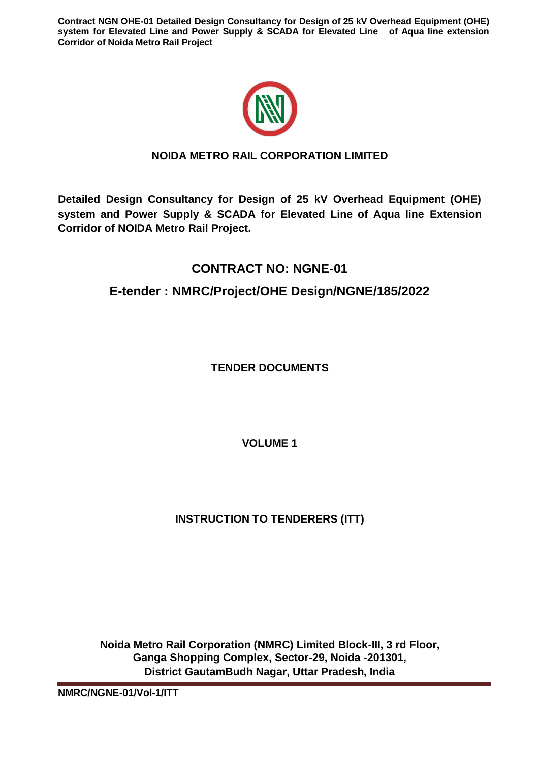

# **NOIDA METRO RAIL CORPORATION LIMITED**

**Detailed Design Consultancy for Design of 25 kV Overhead Equipment (OHE) system and Power Supply & SCADA for Elevated Line of Aqua line Extension Corridor of NOIDA Metro Rail Project.**

# **CONTRACT NO: NGNE-01**

# **E-tender : NMRC/Project/OHE Design/NGNE/185/2022**

**TENDER DOCUMENTS**

**VOLUME 1** 

# **INSTRUCTION TO TENDERERS (ITT)**

**Noida Metro Rail Corporation (NMRC) Limited Block-III, 3 rd Floor, Ganga Shopping Complex, Sector-29, Noida -201301, District GautamBudh Nagar, Uttar Pradesh, India** 

**NMRC/NGNE-01/Vol-1/ITT**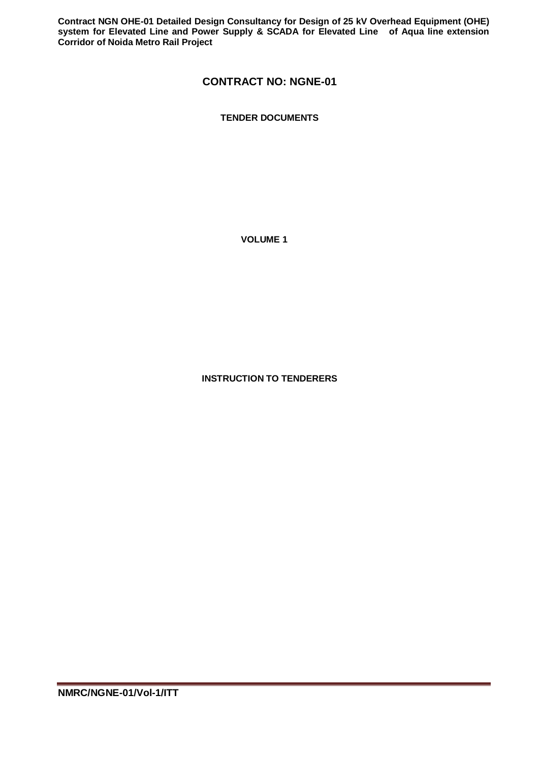# **CONTRACT NO: NGNE-01**

**TENDER DOCUMENTS**

**VOLUME 1**

**INSTRUCTION TO TENDERERS**

**NMRC/NGNE-01/Vol-1/ITT**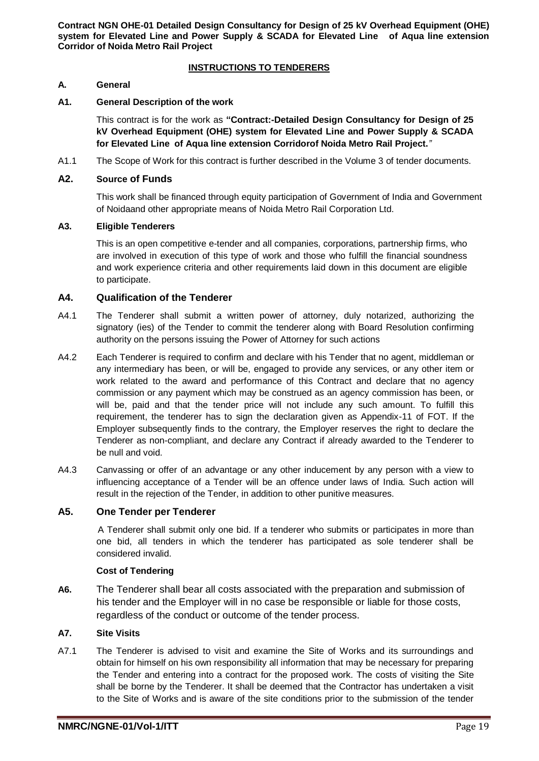## **INSTRUCTIONS TO TENDERERS**

## **A. General**

#### **A1. General Description of the work**

This contract is for the work as **"Contract:-Detailed Design Consultancy for Design of 25 kV Overhead Equipment (OHE) system for Elevated Line and Power Supply & SCADA for Elevated Line of Aqua line extension Corridorof Noida Metro Rail Project.***"*

A1.1 The Scope of Work for this contract is further described in the Volume 3 of tender documents.

#### **A2. Source of Funds**

This work shall be financed through equity participation of Government of India and Government of Noidaand other appropriate means of Noida Metro Rail Corporation Ltd.

## **A3. Eligible Tenderers**

This is an open competitive e-tender and all companies, corporations, partnership firms, who are involved in execution of this type of work and those who fulfill the financial soundness and work experience criteria and other requirements laid down in this document are eligible to participate.

## **A4. Qualification of the Tenderer**

- A4.1 The Tenderer shall submit a written power of attorney, duly notarized, authorizing the signatory (ies) of the Tender to commit the tenderer along with Board Resolution confirming authority on the persons issuing the Power of Attorney for such actions
- A4.2 Each Tenderer is required to confirm and declare with his Tender that no agent, middleman or any intermediary has been, or will be, engaged to provide any services, or any other item or work related to the award and performance of this Contract and declare that no agency commission or any payment which may be construed as an agency commission has been, or will be, paid and that the tender price will not include any such amount. To fulfill this requirement, the tenderer has to sign the declaration given as Appendix-11 of FOT. If the Employer subsequently finds to the contrary, the Employer reserves the right to declare the Tenderer as non-compliant, and declare any Contract if already awarded to the Tenderer to be null and void.
- A4.3 Canvassing or offer of an advantage or any other inducement by any person with a view to influencing acceptance of a Tender will be an offence under laws of India. Such action will result in the rejection of the Tender, in addition to other punitive measures.

# **A5. One Tender per Tenderer**

A Tenderer shall submit only one bid. If a tenderer who submits or participates in more than one bid, all tenders in which the tenderer has participated as sole tenderer shall be considered invalid.

#### **Cost of Tendering**

**A6.** The Tenderer shall bear all costs associated with the preparation and submission of his tender and the Employer will in no case be responsible or liable for those costs, regardless of the conduct or outcome of the tender process.

#### **A7. Site Visits**

A7.1 The Tenderer is advised to visit and examine the Site of Works and its surroundings and obtain for himself on his own responsibility all information that may be necessary for preparing the Tender and entering into a contract for the proposed work. The costs of visiting the Site shall be borne by the Tenderer. It shall be deemed that the Contractor has undertaken a visit to the Site of Works and is aware of the site conditions prior to the submission of the tender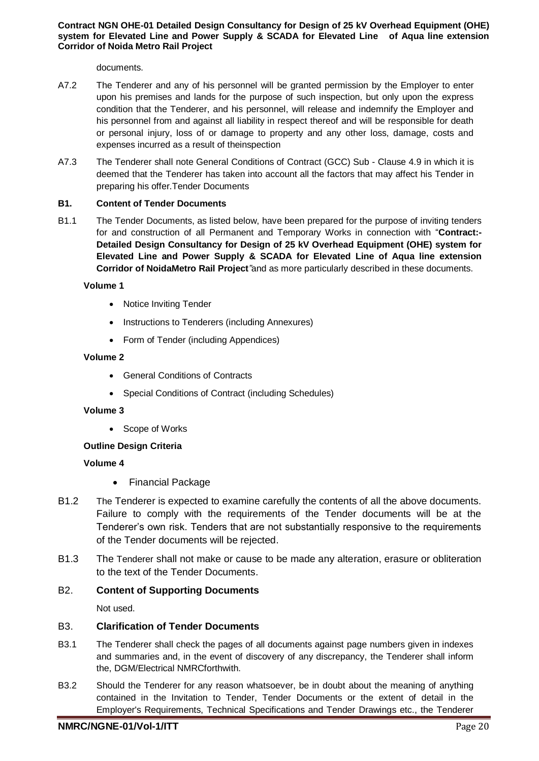documents.

- A7.2 The Tenderer and any of his personnel will be granted permission by the Employer to enter upon his premises and lands for the purpose of such inspection, but only upon the express condition that the Tenderer, and his personnel, will release and indemnify the Employer and his personnel from and against all liability in respect thereof and will be responsible for death or personal injury, loss of or damage to property and any other loss, damage, costs and expenses incurred as a result of theinspection
- A7.3 The Tenderer shall note General Conditions of Contract (GCC) Sub Clause 4.9 in which it is deemed that the Tenderer has taken into account all the factors that may affect his Tender in preparing his offer.Tender Documents

## **B1. Content of Tender Documents**

B1.1 The Tender Documents, as listed below, have been prepared for the purpose of inviting tenders for and construction of all Permanent and Temporary Works in connection with "**Contract:- Detailed Design Consultancy for Design of 25 kV Overhead Equipment (OHE) system for Elevated Line and Power Supply & SCADA for Elevated Line of Aqua line extension Corridor of NoidaMetro Rail Project***"*and as more particularly described in these documents.

#### **Volume 1**

- Notice Inviting Tender
- Instructions to Tenderers (including Annexures)
- Form of Tender (including Appendices)

#### **Volume 2**

- General Conditions of Contracts
- Special Conditions of Contract (including Schedules)

#### **Volume 3**

• Scope of Works

# **Outline Design Criteria**

# **Volume 4**

- Financial Package
- B1.2 The Tenderer is expected to examine carefully the contents of all the above documents. Failure to comply with the requirements of the Tender documents will be at the Tenderer's own risk. Tenders that are not substantially responsive to the requirements of the Tender documents will be rejected.
- B1.3 The Tenderer shall not make or cause to be made any alteration, erasure or obliteration to the text of the Tender Documents.

# B2. **Content of Supporting Documents**

Not used.

# B3. **Clarification of Tender Documents**

- B3.1 The Tenderer shall check the pages of all documents against page numbers given in indexes and summaries and, in the event of discovery of any discrepancy, the Tenderer shall inform the, DGM/Electrical NMRCforthwith.
- B3.2 Should the Tenderer for any reason whatsoever, be in doubt about the meaning of anything contained in the Invitation to Tender, Tender Documents or the extent of detail in the Employer's Requirements, Technical Specifications and Tender Drawings etc., the Tenderer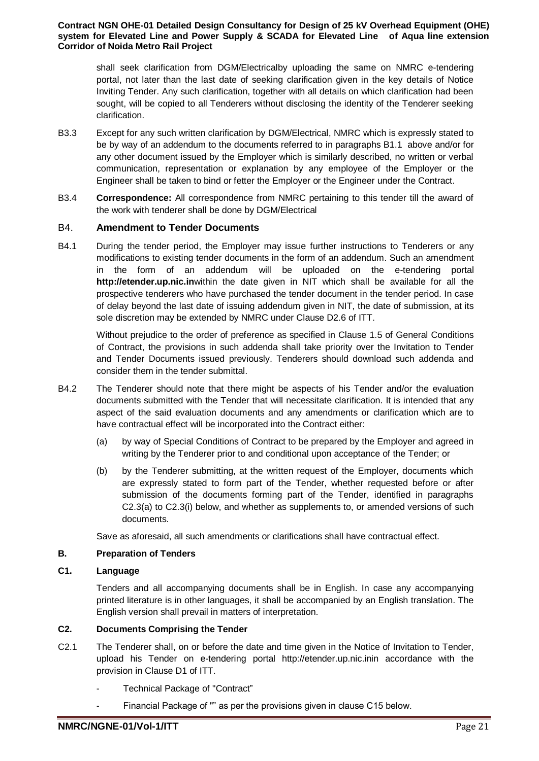shall seek clarification from DGM/Electricalby uploading the same on NMRC e-tendering portal, not later than the last date of seeking clarification given in the key details of Notice Inviting Tender. Any such clarification, together with all details on which clarification had been sought, will be copied to all Tenderers without disclosing the identity of the Tenderer seeking clarification.

- B3.3 Except for any such written clarification by DGM/Electrical, NMRC which is expressly stated to be by way of an addendum to the documents referred to in paragraphs B1.1 above and/or for any other document issued by the Employer which is similarly described, no written or verbal communication, representation or explanation by any employee of the Employer or the Engineer shall be taken to bind or fetter the Employer or the Engineer under the Contract.
- B3.4 **Correspondence:** All correspondence from NMRC pertaining to this tender till the award of the work with tenderer shall be done by DGM/Electrical

## B4. **Amendment to Tender Documents**

B4.1 During the tender period, the Employer may issue further instructions to Tenderers or any modifications to existing tender documents in the form of an addendum. Such an amendment in the form of an addendum will be uploaded on the e-tendering portal **http://etender.up.nic.in**within the date given in NIT which shall be available for all the prospective tenderers who have purchased the tender document in the tender period. In case of delay beyond the last date of issuing addendum given in NIT, the date of submission, at its sole discretion may be extended by NMRC under Clause D2.6 of ITT.

Without prejudice to the order of preference as specified in Clause 1.5 of General Conditions of Contract, the provisions in such addenda shall take priority over the Invitation to Tender and Tender Documents issued previously. Tenderers should download such addenda and consider them in the tender submittal.

- B4.2 The Tenderer should note that there might be aspects of his Tender and/or the evaluation documents submitted with the Tender that will necessitate clarification. It is intended that any aspect of the said evaluation documents and any amendments or clarification which are to have contractual effect will be incorporated into the Contract either:
	- (a) by way of Special Conditions of Contract to be prepared by the Employer and agreed in writing by the Tenderer prior to and conditional upon acceptance of the Tender; or
	- (b) by the Tenderer submitting, at the written request of the Employer, documents which are expressly stated to form part of the Tender, whether requested before or after submission of the documents forming part of the Tender, identified in paragraphs C2.3(a) to C2.3(i) below, and whether as supplements to, or amended versions of such documents.

Save as aforesaid, all such amendments or clarifications shall have contractual effect.

#### **B. Preparation of Tenders**

#### **C1. Language**

Tenders and all accompanying documents shall be in English. In case any accompanying printed literature is in other languages, it shall be accompanied by an English translation. The English version shall prevail in matters of interpretation.

# **C2. Documents Comprising the Tender**

- C2.1 The Tenderer shall, on or before the date and time given in the Notice of Invitation to Tender, upload his Tender on e-tendering portal http://etender.up.nic.inin accordance with the provision in Clause D1 of ITT.
	- Technical Package of "Contract"
	- Financial Package of "" as per the provisions given in clause C15 below.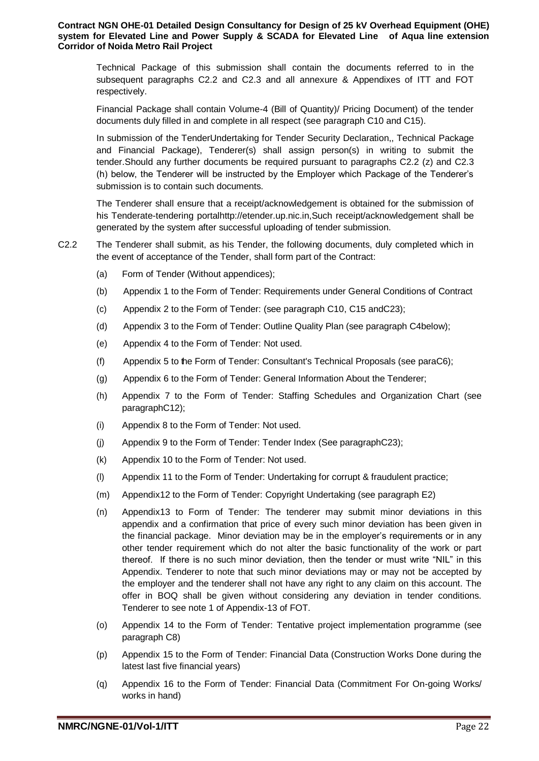Technical Package of this submission shall contain the documents referred to in the subsequent paragraphs C2.2 and C2.3 and all annexure & Appendixes of ITT and FOT respectively.

Financial Package shall contain Volume-4 (Bill of Quantity)/ Pricing Document) of the tender documents duly filled in and complete in all respect (see paragraph C10 and C15).

In submission of the TenderUndertaking for Tender Security Declaration,, Technical Package and Financial Package), Tenderer(s) shall assign person(s) in writing to submit the tender.Should any further documents be required pursuant to paragraphs C2.2 (z) and C2.3 (h) below, the Tenderer will be instructed by the Employer which Package of the Tenderer's submission is to contain such documents.

The Tenderer shall ensure that a receipt/acknowledgement is obtained for the submission of his Tenderate-tendering portalhttp://etender.up.nic.i[n,S](http://www.tenderwizard.com/DMRC)uch receipt/acknowledgement shall be generated by the system after successful uploading of tender submission.

- C2.2 The Tenderer shall submit, as his Tender, the following documents, duly completed which in the event of acceptance of the Tender, shall form part of the Contract:
	- (a) Form of Tender (Without appendices);
	- (b) Appendix 1 to the Form of Tender: Requirements under General Conditions of Contract
	- (c) Appendix 2 to the Form of Tender: (see paragraph C10, C15 andC23);
	- (d) Appendix 3 to the Form of Tender: Outline Quality Plan (see paragraph C4below);
	- (e) Appendix 4 to the Form of Tender: Not used.
	- (f) Appendix 5 to the Form of Tender: Consultant's Technical Proposals (see paraC6);
	- (g) Appendix 6 to the Form of Tender: General Information About the Tenderer;
	- (h) Appendix 7 to the Form of Tender: Staffing Schedules and Organization Chart (see paragraphC12);
	- (i) Appendix 8 to the Form of Tender: Not used.
	- (j) Appendix 9 to the Form of Tender: Tender Index (See paragraphC23);
	- (k) Appendix 10 to the Form of Tender: Not used.
	- (l) Appendix 11 to the Form of Tender: Undertaking for corrupt & fraudulent practice;
	- (m) Appendix12 to the Form of Tender: Copyright Undertaking (see paragraph E2)
	- (n) Appendix13 to Form of Tender: The tenderer may submit minor deviations in this appendix and a confirmation that price of every such minor deviation has been given in the financial package. Minor deviation may be in the employer's requirements or in any other tender requirement which do not alter the basic functionality of the work or part thereof. If there is no such minor deviation, then the tender or must write "NIL" in this Appendix. Tenderer to note that such minor deviations may or may not be accepted by the employer and the tenderer shall not have any right to any claim on this account. The offer in BOQ shall be given without considering any deviation in tender conditions. Tenderer to see note 1 of Appendix-13 of FOT.
	- (o) Appendix 14 to the Form of Tender: Tentative project implementation programme (see paragraph C8)
	- (p) Appendix 15 to the Form of Tender: Financial Data (Construction Works Done during the latest last five financial years)
	- (q) Appendix 16 to the Form of Tender: Financial Data (Commitment For On-going Works/ works in hand)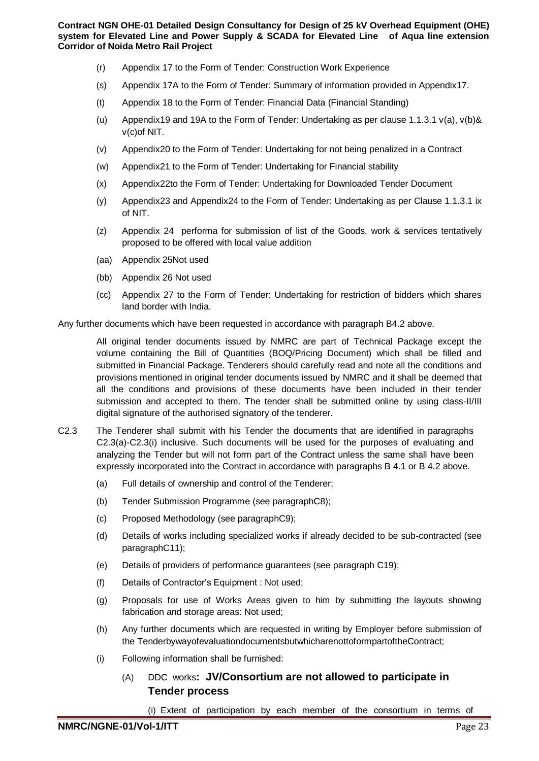- (r) Appendix 17 to the Form of Tender: Construction Work Experience
- (s) Appendix 17A to the Form of Tender: Summary of information provided in Appendix17.
- (t) Appendix 18 to the Form of Tender: Financial Data (Financial Standing)
- (u) Appendix19 and 19A to the Form of Tender: Undertaking as per clause 1.1.3.1 v(a), v(b)& v(c)of NIT.
- (v) Appendix20 to the Form of Tender: Undertaking for not being penalized in a Contract
- (w) Appendix21 to the Form of Tender: Undertaking for Financial stability
- (x) Appendix22to the Form of Tender: Undertaking for Downloaded Tender Document
- (y) Appendix23 and Appendix24 to the Form of Tender: Undertaking as per Clause 1.1.3.1 ix of NIT.
- (z) Appendix 24 performa for submission of list of the Goods, work & services tentatively proposed to be offered with local value addition
- (aa) Appendix 25Not used
- (bb) Appendix 26 Not used
- (cc) Appendix 27 to the Form of Tender: Undertaking for restriction of bidders which shares land border with India.

Any further documents which have been requested in accordance with paragraph B4.2 above.

All original tender documents issued by NMRC are part of Technical Package except the volume containing the Bill of Quantities (BOQ/Pricing Document) which shall be filled and submitted in Financial Package. Tenderers should carefully read and note all the conditions and provisions mentioned in original tender documents issued by NMRC and it shall be deemed that all the conditions and provisions of these documents have been included in their tender submission and accepted to them. The tender shall be submitted online by using class-II/III digital signature of the authorised signatory of the tenderer.

- C2.3 The Tenderer shall submit with his Tender the documents that are identified in paragraphs C2.3(a)-C2.3(i) inclusive. Such documents will be used for the purposes of evaluating and analyzing the Tender but will not form part of the Contract unless the same shall have been expressly incorporated into the Contract in accordance with paragraphs B 4.1 or B 4.2 above.
	- (a) Full details of ownership and control of the Tenderer;
	- (b) Tender Submission Programme (see paragraphC8);
	- (c) Proposed Methodology (see paragraphC9);
	- (d) Details of works including specialized works if already decided to be sub-contracted (see paragraphC11);
	- (e) Details of providers of performance guarantees (see paragraph C19);
	- (f) Details of Contractor's Equipment : Not used;
	- (g) Proposals for use of Works Areas given to him by submitting the layouts showing fabrication and storage areas: Not used;
	- (h) Any further documents which are requested in writing by Employer before submission of the TenderbywayofevaluationdocumentsbutwhicharenottoformpartoftheContract;
	- (i) Following information shall be furnished:
		- (A) DDC works**: JV/Consortium are not allowed to participate in Tender process**

(i) Extent of participation by each member of the consortium in terms of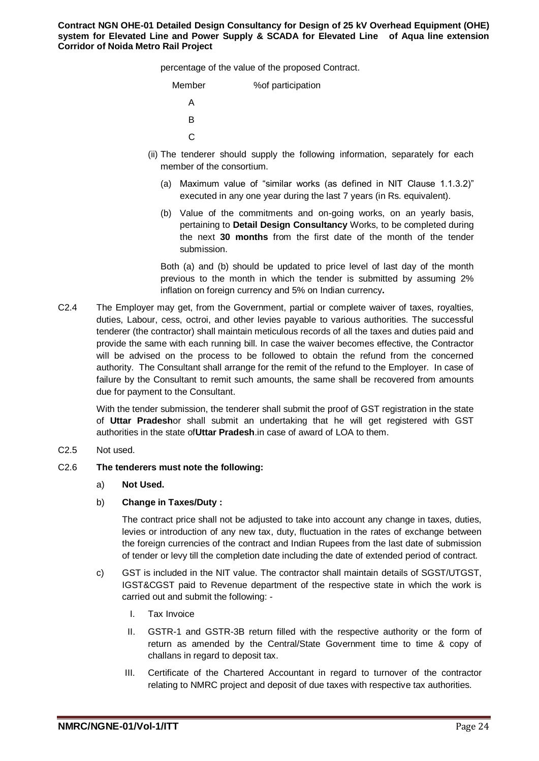percentage of the value of the proposed Contract.

| Member | % of participation |
|--------|--------------------|
|        |                    |
| R      |                    |
| C.     |                    |

- (ii) The tenderer should supply the following information, separately for each member of the consortium.
	- (a) Maximum value of "similar works (as defined in NIT Clause 1.1.3.2)" executed in any one year during the last 7 years (in Rs. equivalent).
	- (b) Value of the commitments and on-going works, on an yearly basis, pertaining to **Detail Design Consultancy** Works, to be completed during the next **30 months** from the first date of the month of the tender submission.

Both (a) and (b) should be updated to price level of last day of the month previous to the month in which the tender is submitted by assuming 2% inflation on foreign currency and 5% on Indian currency**.**

C2.4 The Employer may get, from the Government, partial or complete waiver of taxes, royalties, duties, Labour, cess, octroi, and other levies payable to various authorities. The successful tenderer (the contractor) shall maintain meticulous records of all the taxes and duties paid and provide the same with each running bill. In case the waiver becomes effective, the Contractor will be advised on the process to be followed to obtain the refund from the concerned authority. The Consultant shall arrange for the remit of the refund to the Employer. In case of failure by the Consultant to remit such amounts, the same shall be recovered from amounts due for payment to the Consultant.

With the tender submission, the tenderer shall submit the proof of GST registration in the state of **Uttar Pradesh**or shall submit an undertaking that he will get registered with GST authorities in the state of**Uttar Pradesh**.in case of award of LOA to them.

C2.5 Not used.

#### C2.6 **The tenderers must note the following:**

a) **Not Used.** 

#### b) **Change in Taxes/Duty :**

The contract price shall not be adjusted to take into account any change in taxes, duties, levies or introduction of any new tax, duty, fluctuation in the rates of exchange between the foreign currencies of the contract and Indian Rupees from the last date of submission of tender or levy till the completion date including the date of extended period of contract.

- c) GST is included in the NIT value. The contractor shall maintain details of SGST/UTGST, IGST&CGST paid to Revenue department of the respective state in which the work is carried out and submit the following: -
	- I. Tax Invoice
	- II. GSTR-1 and GSTR-3B return filled with the respective authority or the form of return as amended by the Central/State Government time to time & copy of challans in regard to deposit tax.
	- III. Certificate of the Chartered Accountant in regard to turnover of the contractor relating to NMRC project and deposit of due taxes with respective tax authorities.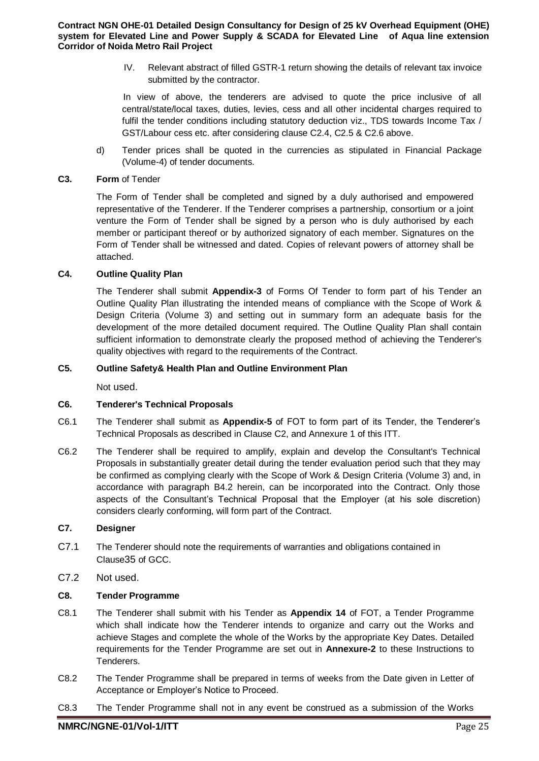IV. Relevant abstract of filled GSTR-1 return showing the details of relevant tax invoice submitted by the contractor.

In view of above, the tenderers are advised to quote the price inclusive of all central/state/local taxes, duties, levies, cess and all other incidental charges required to fulfil the tender conditions including statutory deduction viz., TDS towards Income Tax / GST/Labour cess etc. after considering clause C2.4, C2.5 & C2.6 above.

d) Tender prices shall be quoted in the currencies as stipulated in Financial Package (Volume-4) of tender documents.

#### **C3. Form** of Tender

The Form of Tender shall be completed and signed by a duly authorised and empowered representative of the Tenderer. If the Tenderer comprises a partnership, consortium or a joint venture the Form of Tender shall be signed by a person who is duly authorised by each member or participant thereof or by authorized signatory of each member. Signatures on the Form of Tender shall be witnessed and dated. Copies of relevant powers of attorney shall be attached.

## **C4. Outline Quality Plan**

The Tenderer shall submit **Appendix-3** of Forms Of Tender to form part of his Tender an Outline Quality Plan illustrating the intended means of compliance with the Scope of Work & Design Criteria (Volume 3) and setting out in summary form an adequate basis for the development of the more detailed document required. The Outline Quality Plan shall contain sufficient information to demonstrate clearly the proposed method of achieving the Tenderer's quality objectives with regard to the requirements of the Contract.

#### **C5. Outline Safety& Health Plan and Outline Environment Plan**

Not used.

#### **C6. Tenderer's Technical Proposals**

- C6.1 The Tenderer shall submit as **Appendix-5** of FOT to form part of its Tender, the Tenderer's Technical Proposals as described in Clause C2, and Annexure 1 of this ITT.
- C6.2 The Tenderer shall be required to amplify, explain and develop the Consultant's Technical Proposals in substantially greater detail during the tender evaluation period such that they may be confirmed as complying clearly with the Scope of Work & Design Criteria (Volume 3) and, in accordance with paragraph B4.2 herein, can be incorporated into the Contract. Only those aspects of the Consultant's Technical Proposal that the Employer (at his sole discretion) considers clearly conforming, will form part of the Contract.

#### **C7. Designer**

- C7.1 The Tenderer should note the requirements of warranties and obligations contained in Clause35 of GCC.
- C7.2 Not used.

#### **C8. Tender Programme**

- C8.1 The Tenderer shall submit with his Tender as **Appendix 14** of FOT, a Tender Programme which shall indicate how the Tenderer intends to organize and carry out the Works and achieve Stages and complete the whole of the Works by the appropriate Key Dates. Detailed requirements for the Tender Programme are set out in **Annexure-2** to these Instructions to **Tenderers**
- C8.2 The Tender Programme shall be prepared in terms of weeks from the Date given in Letter of Acceptance or Employer's Notice to Proceed.
- C8.3 The Tender Programme shall not in any event be construed as a submission of the Works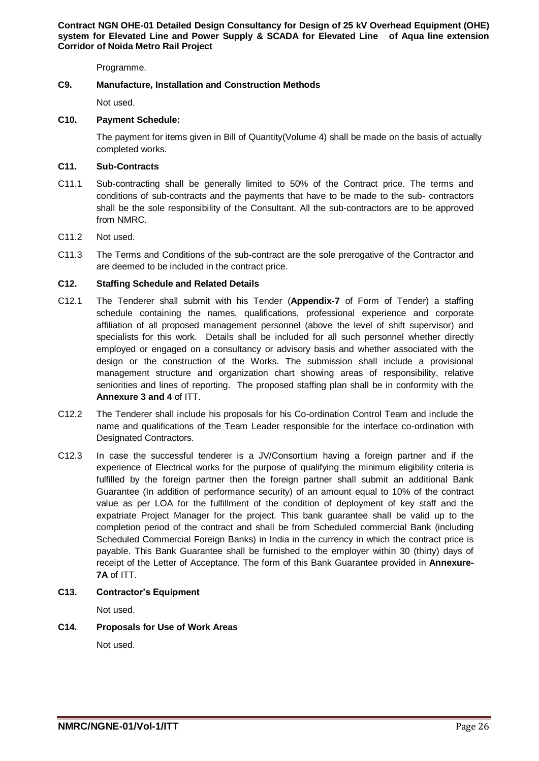Programme.

## **C9. Manufacture, Installation and Construction Methods**

Not used.

#### **C10. Payment Schedule:**

The payment for items given in Bill of Quantity(Volume 4) shall be made on the basis of actually completed works.

#### **C11. Sub-Contracts**

- C11.1 Sub-contracting shall be generally limited to 50% of the Contract price. The terms and conditions of sub-contracts and the payments that have to be made to the sub- contractors shall be the sole responsibility of the Consultant. All the sub-contractors are to be approved from NMRC.
- C11.2 Not used.
- C11.3 The Terms and Conditions of the sub-contract are the sole prerogative of the Contractor and are deemed to be included in the contract price.

## **C12. Staffing Schedule and Related Details**

- C12.1 The Tenderer shall submit with his Tender (**Appendix-7** of Form of Tender) a staffing schedule containing the names, qualifications, professional experience and corporate affiliation of all proposed management personnel (above the level of shift supervisor) and specialists for this work. Details shall be included for all such personnel whether directly employed or engaged on a consultancy or advisory basis and whether associated with the design or the construction of the Works. The submission shall include a provisional management structure and organization chart showing areas of responsibility, relative seniorities and lines of reporting. The proposed staffing plan shall be in conformity with the **Annexure 3 and 4** of ITT.
- C12.2 The Tenderer shall include his proposals for his Co-ordination Control Team and include the name and qualifications of the Team Leader responsible for the interface co-ordination with Designated Contractors.
- C12.3 In case the successful tenderer is a JV/Consortium having a foreign partner and if the experience of Electrical works for the purpose of qualifying the minimum eligibility criteria is fulfilled by the foreign partner then the foreign partner shall submit an additional Bank Guarantee (In addition of performance security) of an amount equal to 10% of the contract value as per LOA for the fulfillment of the condition of deployment of key staff and the expatriate Project Manager for the project. This bank guarantee shall be valid up to the completion period of the contract and shall be from Scheduled commercial Bank (including Scheduled Commercial Foreign Banks) in India in the currency in which the contract price is payable. This Bank Guarantee shall be furnished to the employer within 30 (thirty) days of receipt of the Letter of Acceptance. The form of this Bank Guarantee provided in **Annexure-7A** of ITT.

#### **C13. Contractor's Equipment**

Not used.

# **C14. Proposals for Use of Work Areas**

Not used.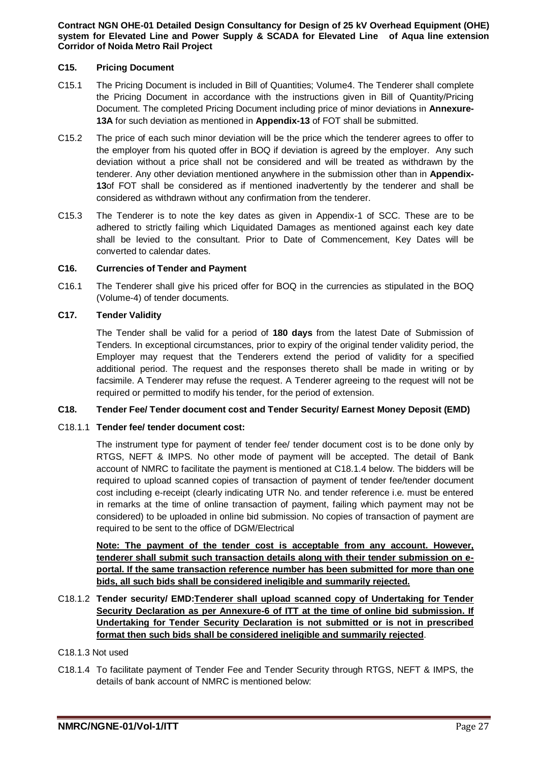#### **C15. Pricing Document**

- C15.1 The Pricing Document is included in Bill of Quantities; Volume4. The Tenderer shall complete the Pricing Document in accordance with the instructions given in Bill of Quantity/Pricing Document. The completed Pricing Document including price of minor deviations in **Annexure-13A** for such deviation as mentioned in **Appendix-13** of FOT shall be submitted.
- C15.2 The price of each such minor deviation will be the price which the tenderer agrees to offer to the employer from his quoted offer in BOQ if deviation is agreed by the employer. Any such deviation without a price shall not be considered and will be treated as withdrawn by the tenderer. Any other deviation mentioned anywhere in the submission other than in **Appendix-13**of FOT shall be considered as if mentioned inadvertently by the tenderer and shall be considered as withdrawn without any confirmation from the tenderer.
- C15.3 The Tenderer is to note the key dates as given in Appendix-1 of SCC. These are to be adhered to strictly failing which Liquidated Damages as mentioned against each key date shall be levied to the consultant. Prior to Date of Commencement, Key Dates will be converted to calendar dates.

#### **C16. Currencies of Tender and Payment**

C16.1 The Tenderer shall give his priced offer for BOQ in the currencies as stipulated in the BOQ (Volume-4) of tender documents.

#### **C17. Tender Validity**

The Tender shall be valid for a period of **180 days** from the latest Date of Submission of Tenders. In exceptional circumstances, prior to expiry of the original tender validity period, the Employer may request that the Tenderers extend the period of validity for a specified additional period. The request and the responses thereto shall be made in writing or by facsimile. A Tenderer may refuse the request. A Tenderer agreeing to the request will not be required or permitted to modify his tender, for the period of extension.

#### **C18. Tender Fee/ Tender document cost and Tender Security/ Earnest Money Deposit (EMD)**

#### C18.1.1 **Tender fee/ tender document cost:**

The instrument type for payment of tender fee/ tender document cost is to be done only by RTGS, NEFT & IMPS. No other mode of payment will be accepted. The detail of Bank account of NMRC to facilitate the payment is mentioned at C18.1.4 below. The bidders will be required to upload scanned copies of transaction of payment of tender fee/tender document cost including e-receipt (clearly indicating UTR No. and tender reference i.e. must be entered in remarks at the time of online transaction of payment, failing which payment may not be considered) to be uploaded in online bid submission. No copies of transaction of payment are required to be sent to the office of DGM/Electrical

**Note: The payment of the tender cost is acceptable from any account. However, tenderer shall submit such transaction details along with their tender submission on eportal. If the same transaction reference number has been submitted for more than one bids, all such bids shall be considered ineligible and summarily rejected.**

# C18.1.2 **Tender security/ EMD:Tenderer shall upload scanned copy of Undertaking for Tender Security Declaration as per Annexure-6 of ITT at the time of online bid submission. If Undertaking for Tender Security Declaration is not submitted or is not in prescribed format then such bids shall be considered ineligible and summarily rejected**.

#### C18.1.3 Not used

C18.1.4 To facilitate payment of Tender Fee and Tender Security through RTGS, NEFT & IMPS, the details of bank account of NMRC is mentioned below: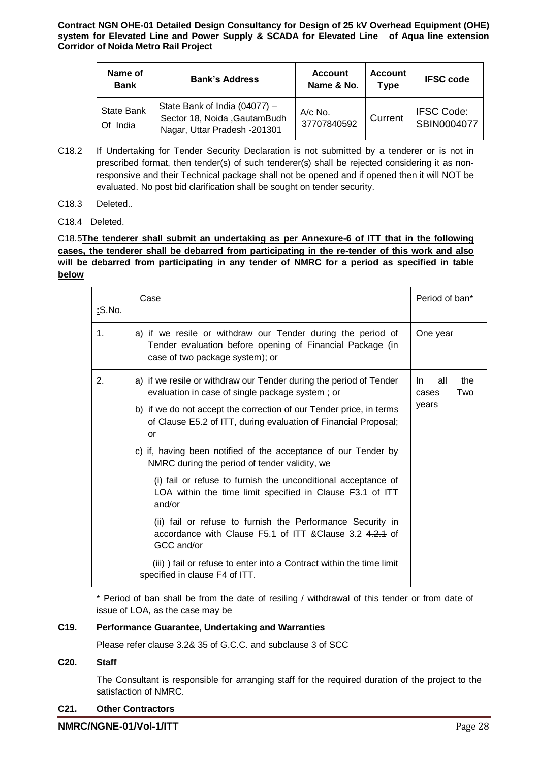| Name of<br><b>Bank</b>           | <b>Bank's Address</b>                                                                           | <b>Account</b><br>Name & No. | <b>Account</b><br><b>Type</b> | <b>IFSC code</b>                 |
|----------------------------------|-------------------------------------------------------------------------------------------------|------------------------------|-------------------------------|----------------------------------|
| <b>State Bank</b><br>India<br>Ωf | State Bank of India (04077) -<br>Sector 18, Noida , Gautam Budh<br>Nagar, Uttar Pradesh -201301 | $A/c$ No.<br>37707840592     | Current                       | <b>IFSC Code:</b><br>SBIN0004077 |

- C18.2 If Undertaking for Tender Security Declaration is not submitted by a tenderer or is not in prescribed format, then tender(s) of such tenderer(s) shall be rejected considering it as nonresponsive and their Technical package shall not be opened and if opened then it will NOT be evaluated. No post bid clarification shall be sought on tender security.
- C18.3 Deleted..
- C18.4 Deleted.

# C18.5**The tenderer shall submit an undertaking as per Annexure-6 of ITT that in the following cases, the tenderer shall be debarred from participating in the re-tender of this work and also will be debarred from participating in any tender of NMRC for a period as specified in table below**

| <u>:</u> S.No. | Case                                                                                                                                                        | Period of ban*                    |
|----------------|-------------------------------------------------------------------------------------------------------------------------------------------------------------|-----------------------------------|
| 1.             | a) if we resile or withdraw our Tender during the period of<br>Tender evaluation before opening of Financial Package (in<br>case of two package system); or | One year                          |
| 2.             | a) if we resile or withdraw our Tender during the period of Tender<br>evaluation in case of single package system; or                                       | the<br>all<br>In.<br>Two<br>cases |
|                | b) if we do not accept the correction of our Tender price, in terms<br>of Clause E5.2 of ITT, during evaluation of Financial Proposal;<br>or                | years                             |
|                | c) if, having been notified of the acceptance of our Tender by<br>NMRC during the period of tender validity, we                                             |                                   |
|                | (i) fail or refuse to furnish the unconditional acceptance of<br>LOA within the time limit specified in Clause F3.1 of ITT<br>and/or                        |                                   |
|                | (ii) fail or refuse to furnish the Performance Security in<br>accordance with Clause F5.1 of ITT & Clause 3.2 4.2.4 of<br>GCC and/or                        |                                   |
|                | (iii)) fail or refuse to enter into a Contract within the time limit<br>specified in clause F4 of ITT.                                                      |                                   |

\* Period of ban shall be from the date of resiling / withdrawal of this tender or from date of issue of LOA, as the case may be

## **C19. Performance Guarantee, Undertaking and Warranties**

Please refer clause 3.2& 35 of G.C.C. and subclause 3 of SCC

#### **C20. Staff**

The Consultant is responsible for arranging staff for the required duration of the project to the satisfaction of NMRC.

#### **C21. Other Contractors**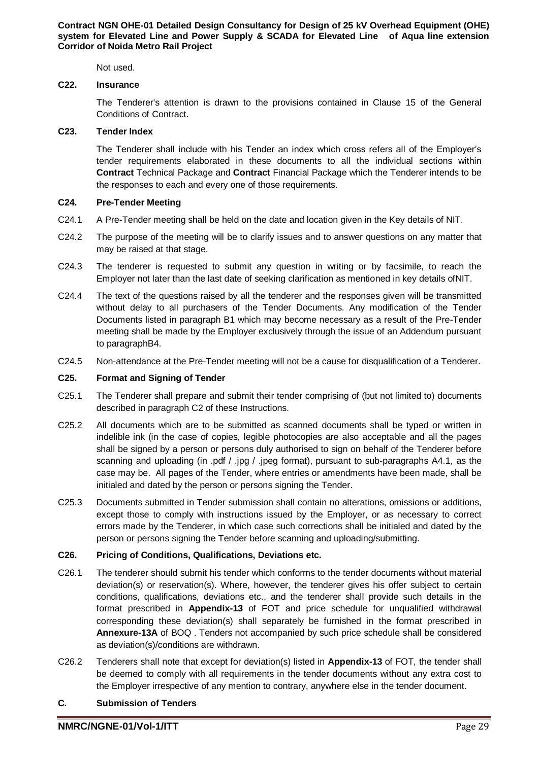Not used.

#### **C22. Insurance**

The Tenderer's attention is drawn to the provisions contained in Clause 15 of the General Conditions of Contract.

#### **C23. Tender Index**

The Tenderer shall include with his Tender an index which cross refers all of the Employer's tender requirements elaborated in these documents to all the individual sections within **Contract** Technical Package and **Contract** Financial Package which the Tenderer intends to be the responses to each and every one of those requirements.

#### **C24. Pre-Tender Meeting**

- C24.1 A Pre-Tender meeting shall be held on the date and location given in the Key details of NIT.
- C24.2 The purpose of the meeting will be to clarify issues and to answer questions on any matter that may be raised at that stage.
- C24.3 The tenderer is requested to submit any question in writing or by facsimile, to reach the Employer not later than the last date of seeking clarification as mentioned in key details ofNIT.
- C24.4 The text of the questions raised by all the tenderer and the responses given will be transmitted without delay to all purchasers of the Tender Documents. Any modification of the Tender Documents listed in paragraph B1 which may become necessary as a result of the Pre-Tender meeting shall be made by the Employer exclusively through the issue of an Addendum pursuant to paragraphB4.
- C24.5 Non-attendance at the Pre-Tender meeting will not be a cause for disqualification of a Tenderer.

#### **C25. Format and Signing of Tender**

- C25.1 The Tenderer shall prepare and submit their tender comprising of (but not limited to) documents described in paragraph C2 of these Instructions.
- C25.2 All documents which are to be submitted as scanned documents shall be typed or written in indelible ink (in the case of copies, legible photocopies are also acceptable and all the pages shall be signed by a person or persons duly authorised to sign on behalf of the Tenderer before scanning and uploading (in .pdf / .jpg / .jpeg format), pursuant to sub-paragraphs A4.1, as the case may be. All pages of the Tender, where entries or amendments have been made, shall be initialed and dated by the person or persons signing the Tender.
- C25.3 Documents submitted in Tender submission shall contain no alterations, omissions or additions, except those to comply with instructions issued by the Employer, or as necessary to correct errors made by the Tenderer, in which case such corrections shall be initialed and dated by the person or persons signing the Tender before scanning and uploading/submitting.

#### **C26. Pricing of Conditions, Qualifications, Deviations etc.**

- C26.1 The tenderer should submit his tender which conforms to the tender documents without material deviation(s) or reservation(s). Where, however, the tenderer gives his offer subject to certain conditions, qualifications, deviations etc., and the tenderer shall provide such details in the format prescribed in **Appendix-13** of FOT and price schedule for unqualified withdrawal corresponding these deviation(s) shall separately be furnished in the format prescribed in **Annexure-13A** of BOQ . Tenders not accompanied by such price schedule shall be considered as deviation(s)/conditions are withdrawn.
- C26.2 Tenderers shall note that except for deviation(s) listed in **Appendix-13** of FOT, the tender shall be deemed to comply with all requirements in the tender documents without any extra cost to the Employer irrespective of any mention to contrary, anywhere else in the tender document.

#### **C. Submission of Tenders**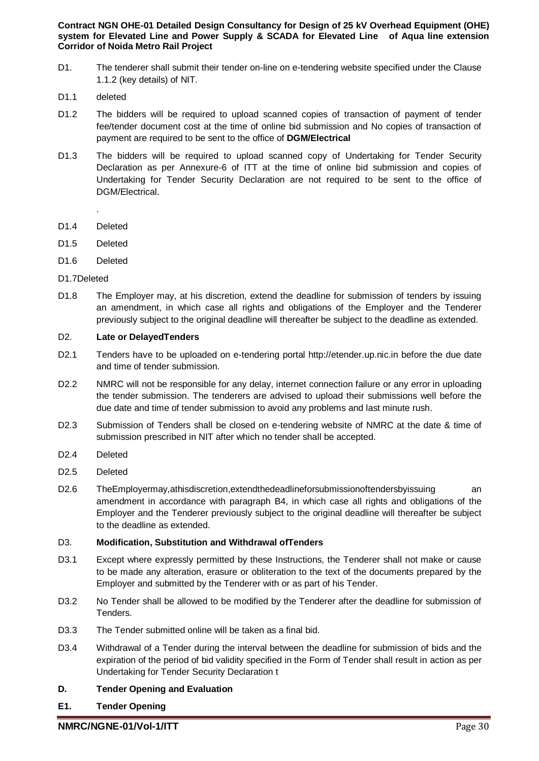- D1. The tenderer shall submit their tender on-line on e-tendering website specified under the Clause 1.1.2 (key details) of NIT.
- D<sub>1</sub>1 deleted
- D1.2 The bidders will be required to upload scanned copies of transaction of payment of tender fee/tender document cost at the time of online bid submission and No copies of transaction of payment are required to be sent to the office of **DGM/Electrical**
- D1.3 The bidders will be required to upload scanned copy of Undertaking for Tender Security Declaration as per Annexure-6 of ITT at the time of online bid submission and copies of Undertaking for Tender Security Declaration are not required to be sent to the office of DGM/Electrical.
	- .
- D<sub>1</sub>4 Deleted
- D1.5 Deleted
- D1.6 Deleted
- D1.7Deleted
- D1.8 The Employer may, at his discretion, extend the deadline for submission of tenders by issuing an amendment, in which case all rights and obligations of the Employer and the Tenderer previously subject to the original deadline will thereafter be subject to the deadline as extended.

## D2. **Late or DelayedTenders**

- D2.1 Tenders have to be uploaded on e-tendering portal http://etender.up.nic.in before the due date and time of tender submission.
- D2.2 NMRC will not be responsible for any delay, internet connection failure or any error in uploading the tender submission. The tenderers are advised to upload their submissions well before the due date and time of tender submission to avoid any problems and last minute rush.
- D2.3 Submission of Tenders shall be closed on e-tendering website of NMRC at the date & time of submission prescribed in NIT after which no tender shall be accepted.
- D2.4 Deleted
- D2.5 Deleted
- D2.6 TheEmployermay,athisdiscretion,extendthedeadlineforsubmissionoftendersbyissuing an amendment in accordance with paragraph B4, in which case all rights and obligations of the Employer and the Tenderer previously subject to the original deadline will thereafter be subject to the deadline as extended.

#### D3. **Modification, Substitution and Withdrawal ofTenders**

- D3.1 Except where expressly permitted by these Instructions, the Tenderer shall not make or cause to be made any alteration, erasure or obliteration to the text of the documents prepared by the Employer and submitted by the Tenderer with or as part of his Tender.
- D3.2 No Tender shall be allowed to be modified by the Tenderer after the deadline for submission of Tenders.
- D3.3 The Tender submitted online will be taken as a final bid.
- D3.4 Withdrawal of a Tender during the interval between the deadline for submission of bids and the expiration of the period of bid validity specified in the Form of Tender shall result in action as per Undertaking for Tender Security Declaration t

# **D. Tender Opening and Evaluation**

**E1. Tender Opening**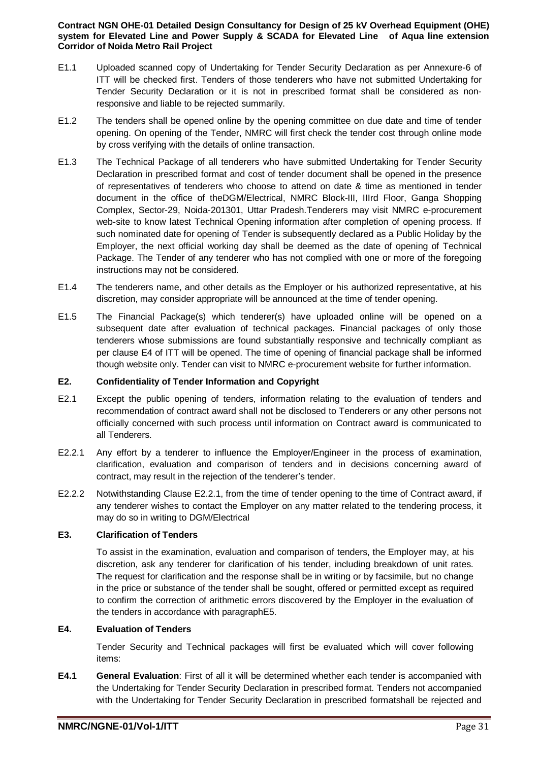- E1.1 Uploaded scanned copy of Undertaking for Tender Security Declaration as per Annexure-6 of ITT will be checked first. Tenders of those tenderers who have not submitted Undertaking for Tender Security Declaration or it is not in prescribed format shall be considered as nonresponsive and liable to be rejected summarily.
- E1.2 The tenders shall be opened online by the opening committee on due date and time of tender opening. On opening of the Tender, NMRC will first check the tender cost through online mode by cross verifying with the details of online transaction.
- E1.3 The Technical Package of all tenderers who have submitted Undertaking for Tender Security Declaration in prescribed format and cost of tender document shall be opened in the presence of representatives of tenderers who choose to attend on date & time as mentioned in tender document in the office of theDGM/Electrical, NMRC Block-III, IIIrd Floor, Ganga Shopping Complex, Sector-29, Noida-201301, Uttar Pradesh.Tenderers may visit NMRC e-procurement web-site to know latest Technical Opening information after completion of opening process. If such nominated date for opening of Tender is subsequently declared as a Public Holiday by the Employer, the next official working day shall be deemed as the date of opening of Technical Package. The Tender of any tenderer who has not complied with one or more of the foregoing instructions may not be considered.
- E1.4 The tenderers name, and other details as the Employer or his authorized representative, at his discretion, may consider appropriate will be announced at the time of tender opening.
- E1.5 The Financial Package(s) which tenderer(s) have uploaded online will be opened on a subsequent date after evaluation of technical packages. Financial packages of only those tenderers whose submissions are found substantially responsive and technically compliant as per clause E4 of ITT will be opened. The time of opening of financial package shall be informed though website only. Tender can visit to NMRC e-procurement website for further information.

## **E2. Confidentiality of Tender Information and Copyright**

- E2.1 Except the public opening of tenders, information relating to the evaluation of tenders and recommendation of contract award shall not be disclosed to Tenderers or any other persons not officially concerned with such process until information on Contract award is communicated to all Tenderers.
- E2.2.1 Any effort by a tenderer to influence the Employer/Engineer in the process of examination, clarification, evaluation and comparison of tenders and in decisions concerning award of contract, may result in the rejection of the tenderer's tender.
- E2.2.2 Notwithstanding Clause E2.2.1, from the time of tender opening to the time of Contract award, if any tenderer wishes to contact the Employer on any matter related to the tendering process, it may do so in writing to DGM/Electrical

#### **E3. Clarification of Tenders**

To assist in the examination, evaluation and comparison of tenders, the Employer may, at his discretion, ask any tenderer for clarification of his tender, including breakdown of unit rates. The request for clarification and the response shall be in writing or by facsimile, but no change in the price or substance of the tender shall be sought, offered or permitted except as required to confirm the correction of arithmetic errors discovered by the Employer in the evaluation of the tenders in accordance with paragraphE5.

# **E4. Evaluation of Tenders**

Tender Security and Technical packages will first be evaluated which will cover following items:

**E4.1 General Evaluation**: First of all it will be determined whether each tender is accompanied with the Undertaking for Tender Security Declaration in prescribed format. Tenders not accompanied with the Undertaking for Tender Security Declaration in prescribed formatshall be rejected and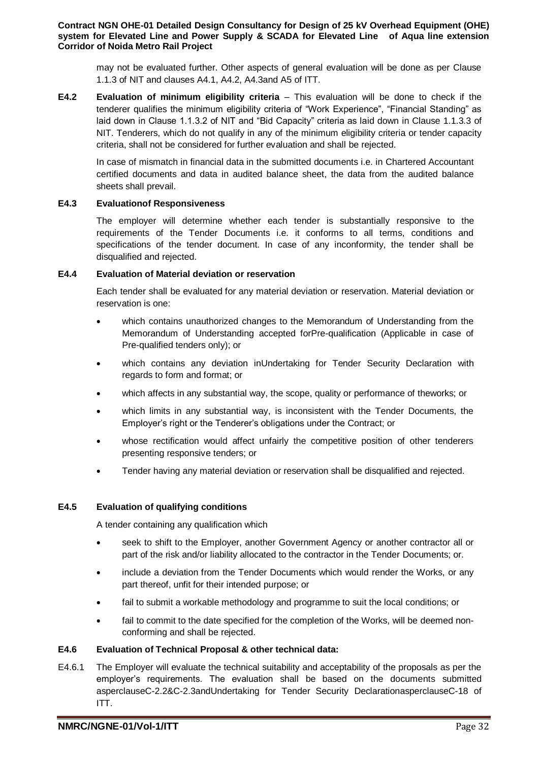may not be evaluated further. Other aspects of general evaluation will be done as per Clause 1.1.3 of NIT and clauses A4.1, A4.2, A4.3and A5 of ITT.

**E4.2 Evaluation of minimum eligibility criteria** – This evaluation will be done to check if the tenderer qualifies the minimum eligibility criteria of "Work Experience", "Financial Standing" as laid down in Clause 1.1.3.2 of NIT and "Bid Capacity" criteria as laid down in Clause 1.1.3.3 of NIT. Tenderers, which do not qualify in any of the minimum eligibility criteria or tender capacity criteria, shall not be considered for further evaluation and shall be rejected.

In case of mismatch in financial data in the submitted documents i.e. in Chartered Accountant certified documents and data in audited balance sheet, the data from the audited balance sheets shall prevail.

## **E4.3 Evaluationof Responsiveness**

The employer will determine whether each tender is substantially responsive to the requirements of the Tender Documents i.e. it conforms to all terms, conditions and specifications of the tender document. In case of any inconformity, the tender shall be disqualified and rejected.

## **E4.4 Evaluation of Material deviation or reservation**

Each tender shall be evaluated for any material deviation or reservation. Material deviation or reservation is one:

- which contains unauthorized changes to the Memorandum of Understanding from the Memorandum of Understanding accepted forPre-qualification (Applicable in case of Pre-qualified tenders only); or
- which contains any deviation inUndertaking for Tender Security Declaration with regards to form and format; or
- which affects in any substantial way, the scope, quality or performance of theworks; or
- which limits in any substantial way, is inconsistent with the Tender Documents, the Employer's right or the Tenderer's obligations under the Contract; or
- whose rectification would affect unfairly the competitive position of other tenderers presenting responsive tenders; or
- Tender having any material deviation or reservation shall be disqualified and rejected.

#### **E4.5 Evaluation of qualifying conditions**

A tender containing any qualification which

- seek to shift to the Employer, another Government Agency or another contractor all or part of the risk and/or liability allocated to the contractor in the Tender Documents; or.
- include a deviation from the Tender Documents which would render the Works, or any part thereof, unfit for their intended purpose; or
- fail to submit a workable methodology and programme to suit the local conditions; or
- fail to commit to the date specified for the completion of the Works, will be deemed nonconforming and shall be rejected.

#### **E4.6 Evaluation of Technical Proposal & other technical data:**

E4.6.1 The Employer will evaluate the technical suitability and acceptability of the proposals as per the employer's requirements. The evaluation shall be based on the documents submitted asperclauseC-2.2&C-2.3andUndertaking for Tender Security DeclarationasperclauseC-18 of ITT.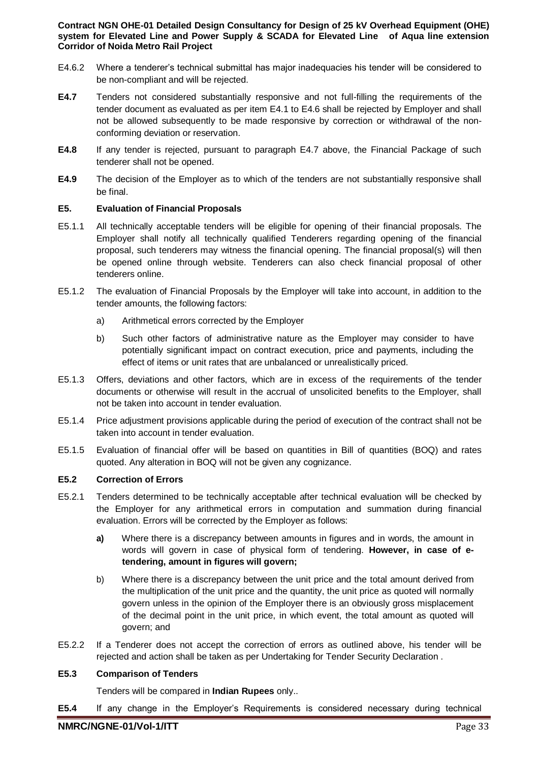- E4.6.2 Where a tenderer's technical submittal has major inadequacies his tender will be considered to be non-compliant and will be rejected.
- **E4.7** Tenders not considered substantially responsive and not full-filling the requirements of the tender document as evaluated as per item E4.1 to E4.6 shall be rejected by Employer and shall not be allowed subsequently to be made responsive by correction or withdrawal of the nonconforming deviation or reservation.
- **E4.8** If any tender is rejected, pursuant to paragraph E4.7 above, the Financial Package of such tenderer shall not be opened.
- **E4.9** The decision of the Employer as to which of the tenders are not substantially responsive shall be final.

## **E5. Evaluation of Financial Proposals**

- E5.1.1 All technically acceptable tenders will be eligible for opening of their financial proposals. The Employer shall notify all technically qualified Tenderers regarding opening of the financial proposal, such tenderers may witness the financial opening. The financial proposal(s) will then be opened online through website. Tenderers can also check financial proposal of other tenderers online.
- E5.1.2 The evaluation of Financial Proposals by the Employer will take into account, in addition to the tender amounts, the following factors:
	- a) Arithmetical errors corrected by the Employer
	- b) Such other factors of administrative nature as the Employer may consider to have potentially significant impact on contract execution, price and payments, including the effect of items or unit rates that are unbalanced or unrealistically priced.
- E5.1.3 Offers, deviations and other factors, which are in excess of the requirements of the tender documents or otherwise will result in the accrual of unsolicited benefits to the Employer, shall not be taken into account in tender evaluation.
- E5.1.4 Price adjustment provisions applicable during the period of execution of the contract shall not be taken into account in tender evaluation.
- E5.1.5 Evaluation of financial offer will be based on quantities in Bill of quantities (BOQ) and rates quoted. Any alteration in BOQ will not be given any cognizance.

## **E5.2 Correction of Errors**

- E5.2.1 Tenders determined to be technically acceptable after technical evaluation will be checked by the Employer for any arithmetical errors in computation and summation during financial evaluation. Errors will be corrected by the Employer as follows:
	- **a)** Where there is a discrepancy between amounts in figures and in words, the amount in words will govern in case of physical form of tendering. **However, in case of etendering, amount in figures will govern;**
	- b) Where there is a discrepancy between the unit price and the total amount derived from the multiplication of the unit price and the quantity, the unit price as quoted will normally govern unless in the opinion of the Employer there is an obviously gross misplacement of the decimal point in the unit price, in which event, the total amount as quoted will govern; and
- E5.2.2 If a Tenderer does not accept the correction of errors as outlined above, his tender will be rejected and action shall be taken as per Undertaking for Tender Security Declaration .

#### **E5.3 Comparison of Tenders**

Tenders will be compared in **Indian Rupees** only..

**E5.4** If any change in the Employer's Requirements is considered necessary during technical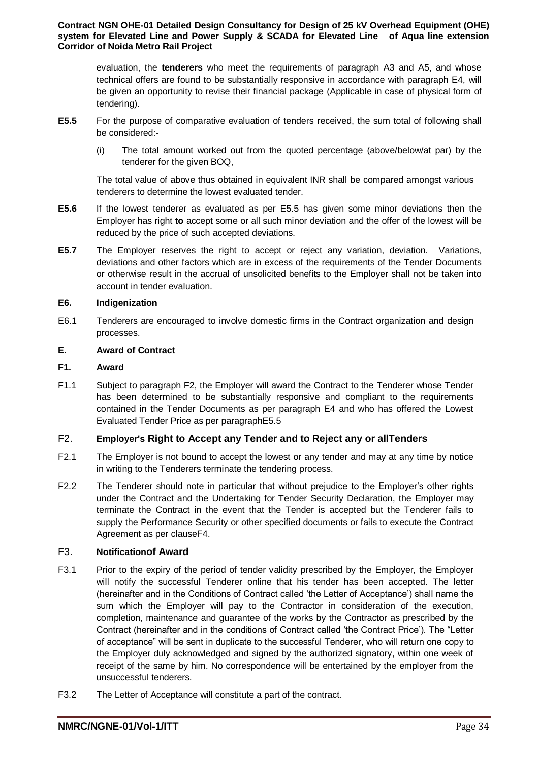evaluation, the **tenderers** who meet the requirements of paragraph A3 and A5, and whose technical offers are found to be substantially responsive in accordance with paragraph E4, will be given an opportunity to revise their financial package (Applicable in case of physical form of tendering).

- **E5.5** For the purpose of comparative evaluation of tenders received, the sum total of following shall be considered:-
	- (i) The total amount worked out from the quoted percentage (above/below/at par) by the tenderer for the given BOQ,

The total value of above thus obtained in equivalent INR shall be compared amongst various tenderers to determine the lowest evaluated tender.

- **E5.6** If the lowest tenderer as evaluated as per E5.5 has given some minor deviations then the Employer has right **to** accept some or all such minor deviation and the offer of the lowest will be reduced by the price of such accepted deviations.
- **E5.7** The Employer reserves the right to accept or reject any variation, deviation. Variations, deviations and other factors which are in excess of the requirements of the Tender Documents or otherwise result in the accrual of unsolicited benefits to the Employer shall not be taken into account in tender evaluation.

## **E6. Indigenization**

E6.1 Tenderers are encouraged to involve domestic firms in the Contract organization and design processes.

## **E. Award of Contract**

## **F1. Award**

F1.1 Subject to paragraph F2, the Employer will award the Contract to the Tenderer whose Tender has been determined to be substantially responsive and compliant to the requirements contained in the Tender Documents as per paragraph E4 and who has offered the Lowest Evaluated Tender Price as per paragraphE5.5

# F2. **Employer's Right to Accept any Tender and to Reject any or allTenders**

- F2.1 The Employer is not bound to accept the lowest or any tender and may at any time by notice in writing to the Tenderers terminate the tendering process.
- F2.2 The Tenderer should note in particular that without prejudice to the Employer's other rights under the Contract and the Undertaking for Tender Security Declaration, the Employer may terminate the Contract in the event that the Tender is accepted but the Tenderer fails to supply the Performance Security or other specified documents or fails to execute the Contract Agreement as per clauseF4.

# F3. **Notificationof Award**

- F3.1 Prior to the expiry of the period of tender validity prescribed by the Employer, the Employer will notify the successful Tenderer online that his tender has been accepted. The letter (hereinafter and in the Conditions of Contract called 'the Letter of Acceptance') shall name the sum which the Employer will pay to the Contractor in consideration of the execution, completion, maintenance and guarantee of the works by the Contractor as prescribed by the Contract (hereinafter and in the conditions of Contract called 'the Contract Price'). The "Letter of acceptance" will be sent in duplicate to the successful Tenderer, who will return one copy to the Employer duly acknowledged and signed by the authorized signatory, within one week of receipt of the same by him. No correspondence will be entertained by the employer from the unsuccessful tenderers.
- F3.2 The Letter of Acceptance will constitute a part of the contract.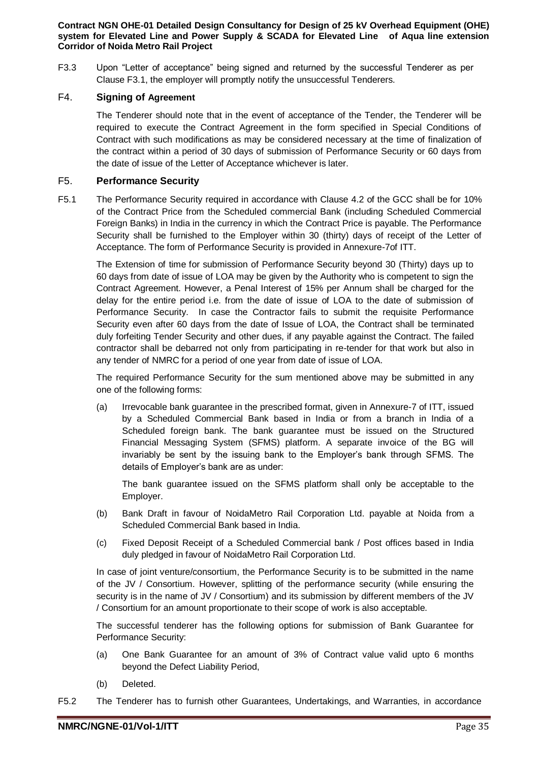F3.3 Upon "Letter of acceptance" being signed and returned by the successful Tenderer as per Clause F3.1, the employer will promptly notify the unsuccessful Tenderers.

# F4. **Signing of Agreement**

The Tenderer should note that in the event of acceptance of the Tender, the Tenderer will be required to execute the Contract Agreement in the form specified in Special Conditions of Contract with such modifications as may be considered necessary at the time of finalization of the contract within a period of 30 days of submission of Performance Security or 60 days from the date of issue of the Letter of Acceptance whichever is later.

#### F5. **Performance Security**

F5.1 The Performance Security required in accordance with Clause 4.2 of the GCC shall be for 10% of the Contract Price from the Scheduled commercial Bank (including Scheduled Commercial Foreign Banks) in India in the currency in which the Contract Price is payable. The Performance Security shall be furnished to the Employer within 30 (thirty) days of receipt of the Letter of Acceptance. The form of Performance Security is provided in Annexure-7of ITT.

The Extension of time for submission of Performance Security beyond 30 (Thirty) days up to 60 days from date of issue of LOA may be given by the Authority who is competent to sign the Contract Agreement. However, a Penal Interest of 15% per Annum shall be charged for the delay for the entire period i.e. from the date of issue of LOA to the date of submission of Performance Security. In case the Contractor fails to submit the requisite Performance Security even after 60 days from the date of Issue of LOA, the Contract shall be terminated duly forfeiting Tender Security and other dues, if any payable against the Contract. The failed contractor shall be debarred not only from participating in re-tender for that work but also in any tender of NMRC for a period of one year from date of issue of LOA.

The required Performance Security for the sum mentioned above may be submitted in any one of the following forms:

(a) Irrevocable bank guarantee in the prescribed format, given in Annexure-7 of ITT, issued by a Scheduled Commercial Bank based in India or from a branch in India of a Scheduled foreign bank. The bank guarantee must be issued on the Structured Financial Messaging System (SFMS) platform. A separate invoice of the BG will invariably be sent by the issuing bank to the Employer's bank through SFMS. The details of Employer's bank are as under:

The bank guarantee issued on the SFMS platform shall only be acceptable to the Employer.

- (b) Bank Draft in favour of NoidaMetro Rail Corporation Ltd. payable at Noida from a Scheduled Commercial Bank based in India.
- (c) Fixed Deposit Receipt of a Scheduled Commercial bank / Post offices based in India duly pledged in favour of NoidaMetro Rail Corporation Ltd.

In case of joint venture/consortium, the Performance Security is to be submitted in the name of the JV / Consortium. However, splitting of the performance security (while ensuring the security is in the name of JV / Consortium) and its submission by different members of the JV / Consortium for an amount proportionate to their scope of work is also acceptable.

The successful tenderer has the following options for submission of Bank Guarantee for Performance Security:

- (a) One Bank Guarantee for an amount of 3% of Contract value valid upto 6 months beyond the Defect Liability Period,
- (b) Deleted.
- F5.2 The Tenderer has to furnish other Guarantees, Undertakings, and Warranties, in accordance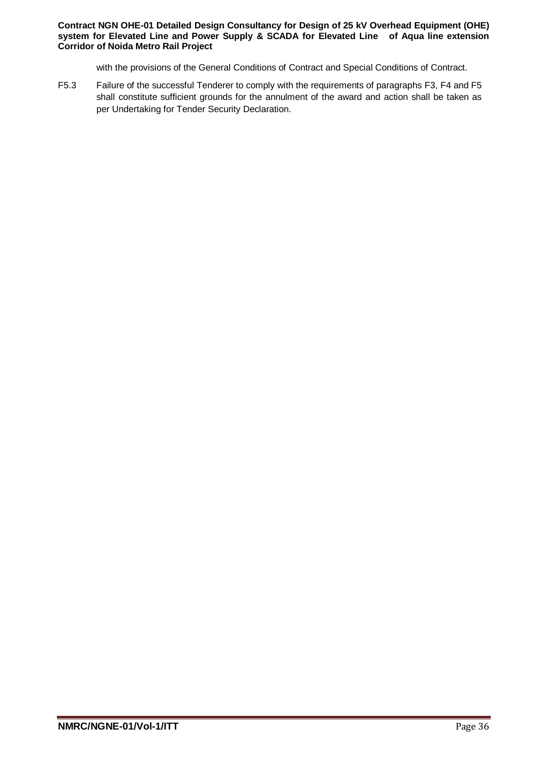with the provisions of the General Conditions of Contract and Special Conditions of Contract.

F5.3 Failure of the successful Tenderer to comply with the requirements of paragraphs F3, F4 and F5 shall constitute sufficient grounds for the annulment of the award and action shall be taken as per Undertaking for Tender Security Declaration.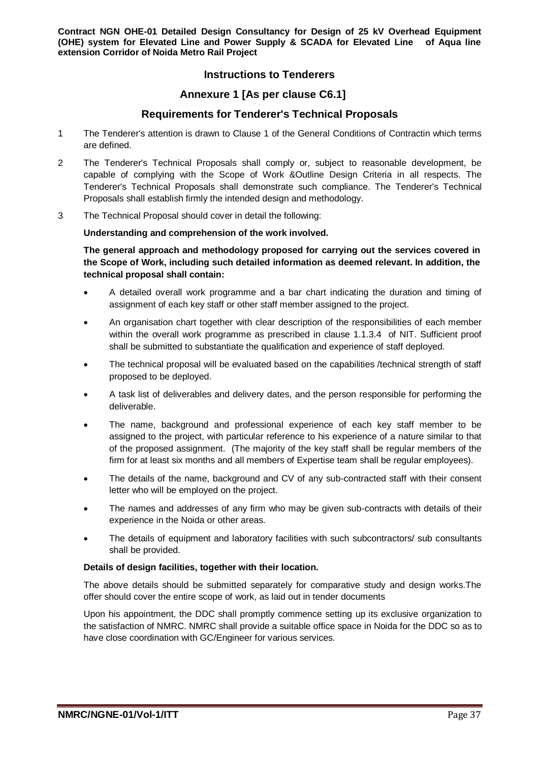# **Instructions to Tenderers**

# **Annexure 1 [As per clause C6.1]**

# **Requirements for Tenderer's Technical Proposals**

- 1 The Tenderer's attention is drawn to Clause 1 of the General Conditions of Contractin which terms are defined.
- 2 The Tenderer's Technical Proposals shall comply or, subject to reasonable development, be capable of complying with the Scope of Work &Outline Design Criteria in all respects. The Tenderer's Technical Proposals shall demonstrate such compliance. The Tenderer's Technical Proposals shall establish firmly the intended design and methodology.
- 3 The Technical Proposal should cover in detail the following:

## **Understanding and comprehension of the work involved.**

**The general approach and methodology proposed for carrying out the services covered in the Scope of Work, including such detailed information as deemed relevant. In addition, the technical proposal shall contain:**

- A detailed overall work programme and a bar chart indicating the duration and timing of assignment of each key staff or other staff member assigned to the project.
- An organisation chart together with clear description of the responsibilities of each member within the overall work programme as prescribed in clause 1.1.3.4 of NIT. Sufficient proof shall be submitted to substantiate the qualification and experience of staff deployed.
- The technical proposal will be evaluated based on the capabilities /technical strength of staff proposed to be deployed.
- A task list of deliverables and delivery dates, and the person responsible for performing the deliverable.
- The name, background and professional experience of each key staff member to be assigned to the project, with particular reference to his experience of a nature similar to that of the proposed assignment. (The majority of the key staff shall be regular members of the firm for at least six months and all members of Expertise team shall be regular employees).
- The details of the name, background and CV of any sub-contracted staff with their consent letter who will be employed on the project.
- The names and addresses of any firm who may be given sub-contracts with details of their experience in the Noida or other areas.
- The details of equipment and laboratory facilities with such subcontractors/ sub consultants shall be provided.

#### **Details of design facilities, together with their location.**

The above details should be submitted separately for comparative study and design works.The offer should cover the entire scope of work, as laid out in tender documents

Upon his appointment, the DDC shall promptly commence setting up its exclusive organization to the satisfaction of NMRC. NMRC shall provide a suitable office space in Noida for the DDC so as to have close coordination with GC/Engineer for various services.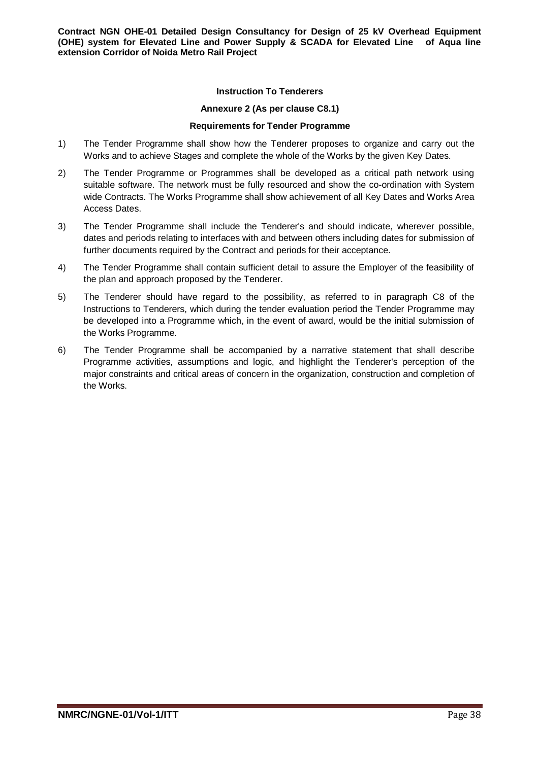#### **Instruction To Tenderers**

#### **Annexure 2 (As per clause C8.1)**

#### **Requirements for Tender Programme**

- 1) The Tender Programme shall show how the Tenderer proposes to organize and carry out the Works and to achieve Stages and complete the whole of the Works by the given Key Dates.
- 2) The Tender Programme or Programmes shall be developed as a critical path network using suitable software. The network must be fully resourced and show the co-ordination with System wide Contracts. The Works Programme shall show achievement of all Key Dates and Works Area Access Dates.
- 3) The Tender Programme shall include the Tenderer's and should indicate, wherever possible, dates and periods relating to interfaces with and between others including dates for submission of further documents required by the Contract and periods for their acceptance.
- 4) The Tender Programme shall contain sufficient detail to assure the Employer of the feasibility of the plan and approach proposed by the Tenderer.
- 5) The Tenderer should have regard to the possibility, as referred to in paragraph C8 of the Instructions to Tenderers, which during the tender evaluation period the Tender Programme may be developed into a Programme which, in the event of award, would be the initial submission of the Works Programme.
- 6) The Tender Programme shall be accompanied by a narrative statement that shall describe Programme activities, assumptions and logic, and highlight the Tenderer's perception of the major constraints and critical areas of concern in the organization, construction and completion of the Works.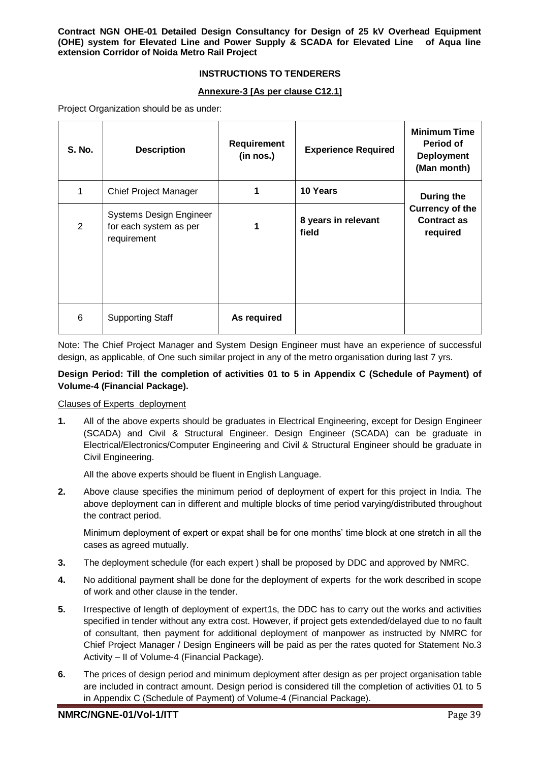## **INSTRUCTIONS TO TENDERERS**

#### **Annexure-3 [As per clause C12.1]**

Project Organization should be as under:

| S. No.         | <b>Description</b>                                                      | Requirement<br>(in nos.) | <b>Experience Required</b>   | <b>Minimum Time</b><br>Period of<br><b>Deployment</b><br>(Man month) |
|----------------|-------------------------------------------------------------------------|--------------------------|------------------------------|----------------------------------------------------------------------|
| 1              | <b>Chief Project Manager</b>                                            | 1                        | 10 Years                     | During the                                                           |
| $\overline{2}$ | <b>Systems Design Engineer</b><br>for each system as per<br>requirement | 1                        | 8 years in relevant<br>field | <b>Currency of the</b><br><b>Contract as</b><br>required             |
| 6              | <b>Supporting Staff</b>                                                 | As required              |                              |                                                                      |

Note: The Chief Project Manager and System Design Engineer must have an experience of successful design, as applicable, of One such similar project in any of the metro organisation during last 7 yrs.

## **Design Period: Till the completion of activities 01 to 5 in Appendix C (Schedule of Payment) of Volume-4 (Financial Package).**

#### Clauses of Experts deployment

**1.** All of the above experts should be graduates in Electrical Engineering, except for Design Engineer (SCADA) and Civil & Structural Engineer. Design Engineer (SCADA) can be graduate in Electrical/Electronics/Computer Engineering and Civil & Structural Engineer should be graduate in Civil Engineering.

All the above experts should be fluent in English Language.

**2.** Above clause specifies the minimum period of deployment of expert for this project in India. The above deployment can in different and multiple blocks of time period varying/distributed throughout the contract period.

Minimum deployment of expert or expat shall be for one months' time block at one stretch in all the cases as agreed mutually.

- **3.** The deployment schedule (for each expert ) shall be proposed by DDC and approved by NMRC.
- **4.** No additional payment shall be done for the deployment of experts for the work described in scope of work and other clause in the tender.
- **5.** Irrespective of length of deployment of expert1s, the DDC has to carry out the works and activities specified in tender without any extra cost. However, if project gets extended/delayed due to no fault of consultant, then payment for additional deployment of manpower as instructed by NMRC for Chief Project Manager / Design Engineers will be paid as per the rates quoted for Statement No.3 Activity – II of Volume-4 (Financial Package).
- **6.** The prices of design period and minimum deployment after design as per project organisation table are included in contract amount. Design period is considered till the completion of activities 01 to 5 in Appendix C (Schedule of Payment) of Volume-4 (Financial Package).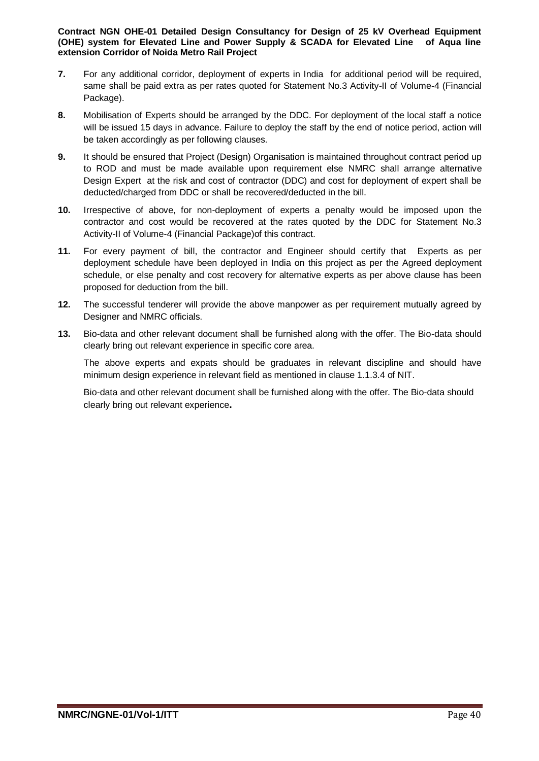- **7.** For any additional corridor, deployment of experts in India for additional period will be required, same shall be paid extra as per rates quoted for Statement No.3 Activity-II of Volume-4 (Financial Package).
- **8.** Mobilisation of Experts should be arranged by the DDC. For deployment of the local staff a notice will be issued 15 days in advance. Failure to deploy the staff by the end of notice period, action will be taken accordingly as per following clauses.
- **9.** It should be ensured that Project (Design) Organisation is maintained throughout contract period up to ROD and must be made available upon requirement else NMRC shall arrange alternative Design Expert at the risk and cost of contractor (DDC) and cost for deployment of expert shall be deducted/charged from DDC or shall be recovered/deducted in the bill.
- **10.** Irrespective of above, for non-deployment of experts a penalty would be imposed upon the contractor and cost would be recovered at the rates quoted by the DDC for Statement No.3 Activity-II of Volume-4 (Financial Package)of this contract.
- **11.** For every payment of bill, the contractor and Engineer should certify that Experts as per deployment schedule have been deployed in India on this project as per the Agreed deployment schedule, or else penalty and cost recovery for alternative experts as per above clause has been proposed for deduction from the bill.
- **12.** The successful tenderer will provide the above manpower as per requirement mutually agreed by Designer and NMRC officials.
- **13.** Bio-data and other relevant document shall be furnished along with the offer. The Bio-data should clearly bring out relevant experience in specific core area.

The above experts and expats should be graduates in relevant discipline and should have minimum design experience in relevant field as mentioned in clause 1.1.3.4 of NIT.

Bio-data and other relevant document shall be furnished along with the offer. The Bio-data should clearly bring out relevant experience**.**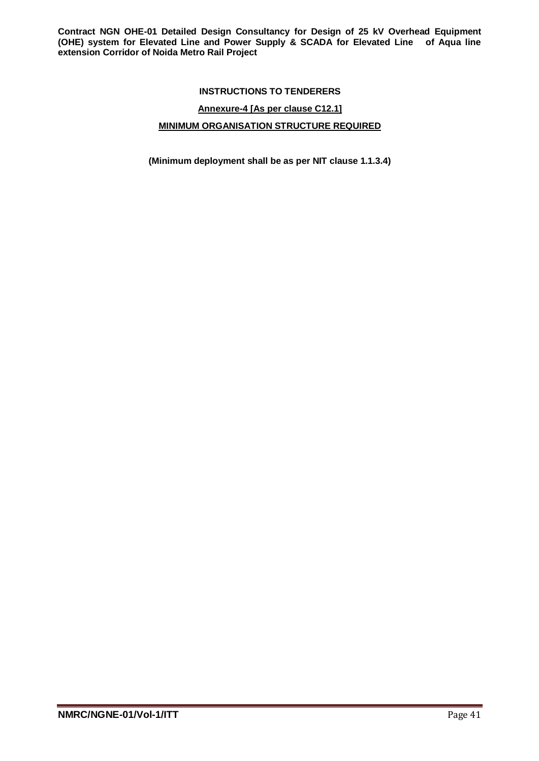# **INSTRUCTIONS TO TENDERERS**

# **Annexure-4 [As per clause C12.1]**

# **MINIMUM ORGANISATION STRUCTURE REQUIRED**

**(Minimum deployment shall be as per NIT clause 1.1.3.4)**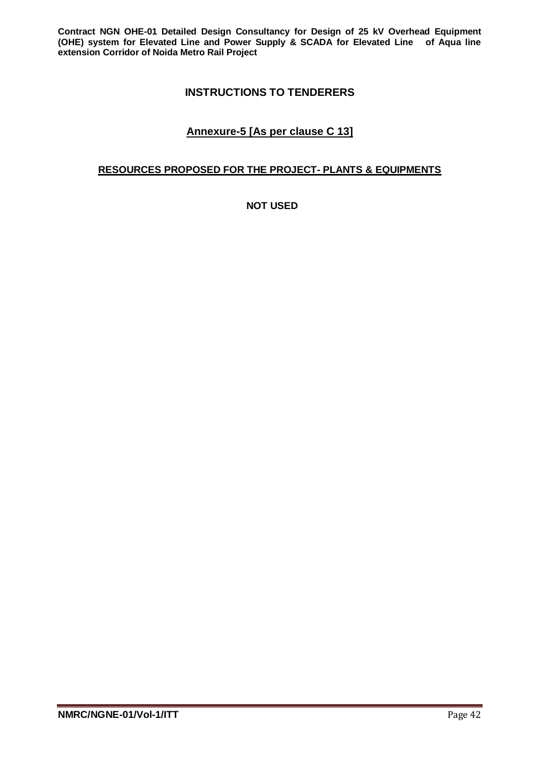# **INSTRUCTIONS TO TENDERERS**

# **Annexure-5 [As per clause C 13]**

# **RESOURCES PROPOSED FOR THE PROJECT- PLANTS & EQUIPMENTS**

**NOT USED**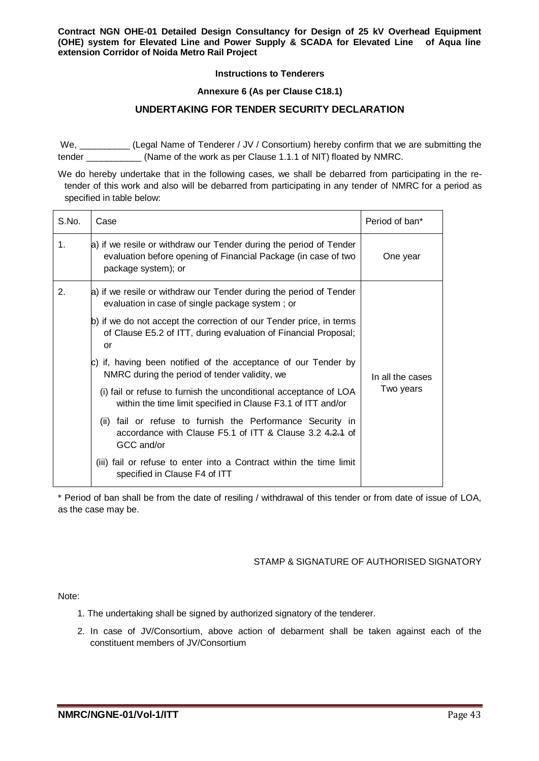#### **Instructions to Tenderers**

#### **Annexure 6 (As per Clause C18.1)**

#### **UNDERTAKING FOR TENDER SECURITY DECLARATION**

We, \_\_\_\_\_\_\_\_\_\_\_ (Legal Name of Tenderer / JV / Consortium) hereby confirm that we are submitting the tender (Name of the work as per Clause 1.1.1 of NIT) floated by NMRC.

We do hereby undertake that in the following cases, we shall be debarred from participating in the retender of this work and also will be debarred from participating in any tender of NMRC for a period as specified in table below:

| S.No. | Case                                                                                                                                                        | Period of ban*   |
|-------|-------------------------------------------------------------------------------------------------------------------------------------------------------------|------------------|
| 1.    | a) if we resile or withdraw our Tender during the period of Tender<br>evaluation before opening of Financial Package (in case of two<br>package system); or | One year         |
| 2.    | a) if we resile or withdraw our Tender during the period of Tender<br>evaluation in case of single package system; or                                       |                  |
|       | b) if we do not accept the correction of our Tender price, in terms<br>of Clause E5.2 of ITT, during evaluation of Financial Proposal;<br>or                |                  |
|       | c) if, having been notified of the acceptance of our Tender by<br>NMRC during the period of tender validity, we                                             | In all the cases |
|       | (i) fail or refuse to furnish the unconditional acceptance of LOA<br>within the time limit specified in Clause F3.1 of ITT and/or                           | Two years        |
|       | fail or refuse to furnish the Performance Security in<br>(ii)<br>accordance with Clause F5.1 of ITT & Clause 3.2 4.2.4 of<br>GCC and/or                     |                  |
|       | (iii) fail or refuse to enter into a Contract within the time limit<br>specified in Clause F4 of ITT                                                        |                  |

\* Period of ban shall be from the date of resiling / withdrawal of this tender or from date of issue of LOA, as the case may be.

#### STAMP & SIGNATURE OF AUTHORISED SIGNATORY

Note:

- 1. The undertaking shall be signed by authorized signatory of the tenderer.
- 2. In case of JV/Consortium, above action of debarment shall be taken against each of the constituent members of JV/Consortium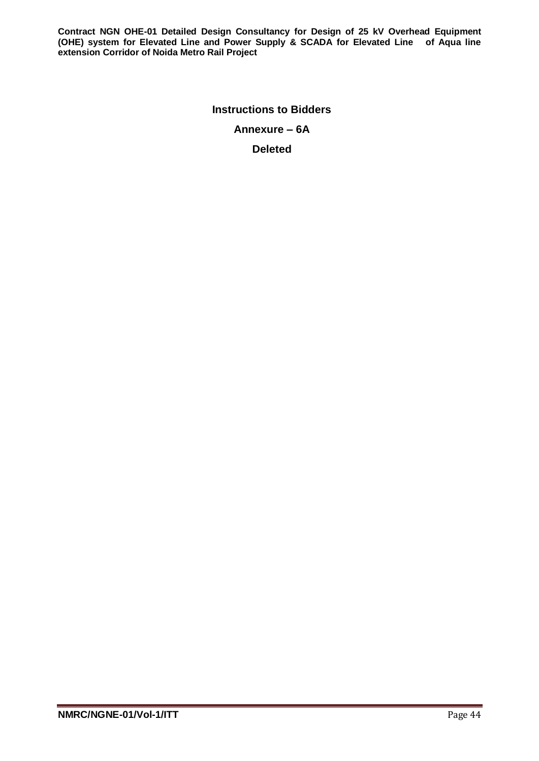> **Instructions to Bidders Annexure – 6A**

**Deleted**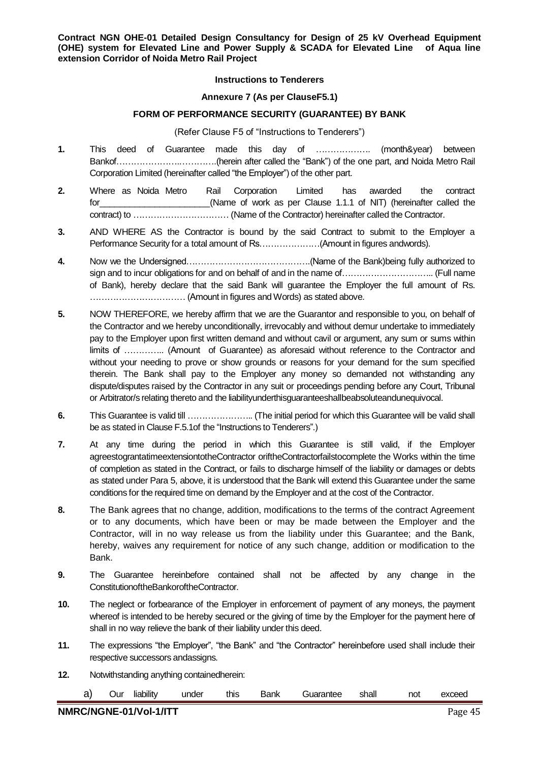#### **Instructions to Tenderers**

#### **Annexure 7 (As per ClauseF5.1)**

#### **FORM OF PERFORMANCE SECURITY (GUARANTEE) BY BANK**

#### (Refer Clause F5 of "Instructions to Tenderers")

- **1.** This deed of Guarantee made this day of ………………. (month&year) between Bankof………………….………….(herein after called the "Bank") of the one part, and Noida Metro Rail Corporation Limited (hereinafter called "the Employer") of the other part.
- **2.** Where as Noida Metro Rail Corporation Limited has awarded the contract for the controller than the controller of work as per Clause 1.1.1 of NIT) (hereinafter called the contract) to …………………………… (Name of the Contractor) hereinafter called the Contractor.
- **3.** AND WHERE AS the Contractor is bound by the said Contract to submit to the Employer a Performance Security for a total amount of Rs…………………(Amount in figures andwords).
- **4.** Now we the Undersigned…………………………………….(Name of the Bank)being fully authorized to sign and to incur obligations for and on behalf of and in the name of………………………….. (Full name of Bank), hereby declare that the said Bank will guarantee the Employer the full amount of Rs. …………………………… (Amount in figures and Words) as stated above.
- **5.** NOW THEREFORE, we hereby affirm that we are the Guarantor and responsible to you, on behalf of the Contractor and we hereby unconditionally, irrevocably and without demur undertake to immediately pay to the Employer upon first written demand and without cavil or argument, any sum or sums within limits of ………….. (Amount of Guarantee) as aforesaid without reference to the Contractor and without your needing to prove or show grounds or reasons for your demand for the sum specified therein. The Bank shall pay to the Employer any money so demanded not withstanding any dispute/disputes raised by the Contractor in any suit or proceedings pending before any Court, Tribunal or Arbitrator/s relating thereto and the liabilityunderthisguaranteeshallbeabsoluteandunequivocal.
- **6.** This Guarantee is valid till ………………….. (The initial period for which this Guarantee will be valid shall be as stated in Clause F.5.1of the "Instructions to Tenderers".)
- **7.** At any time during the period in which this Guarantee is still valid, if the Employer agreestograntatimeextensiontotheContractor oriftheContractorfailstocomplete the Works within the time of completion as stated in the Contract, or fails to discharge himself of the liability or damages or debts as stated under Para 5, above, it is understood that the Bank will extend this Guarantee under the same conditions for the required time on demand by the Employer and at the cost of the Contractor.
- **8.** The Bank agrees that no change, addition, modifications to the terms of the contract Agreement or to any documents, which have been or may be made between the Employer and the Contractor, will in no way release us from the liability under this Guarantee; and the Bank, hereby, waives any requirement for notice of any such change, addition or modification to the Bank.
- **9.** The Guarantee hereinbefore contained shall not be affected by any change in the ConstitutionoftheBankoroftheContractor.
- **10.** The neglect or forbearance of the Employer in enforcement of payment of any moneys, the payment whereof is intended to be hereby secured or the giving of time by the Employer for the payment here of shall in no way relieve the bank of their liability under this deed.
- **11.** The expressions "the Employer", "the Bank" and "the Contractor" hereinbefore used shall include their respective successors andassigns.
- **12.** Notwithstanding anything containedherein:

|  |  |  |  |  |  | a) Our liability under this Bank Guarantee shall not exceed |  |  |  |
|--|--|--|--|--|--|-------------------------------------------------------------|--|--|--|
|--|--|--|--|--|--|-------------------------------------------------------------|--|--|--|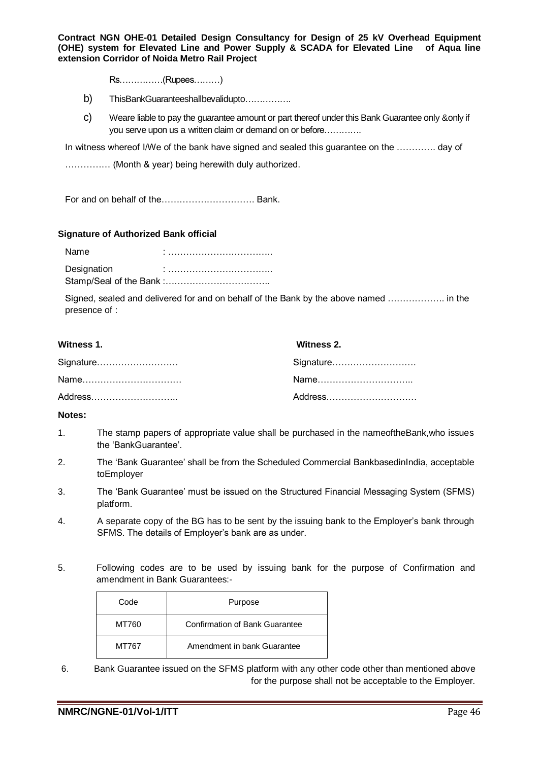Rs……………(Rupees………)

- b) ThisBankGuaranteeshallbevalidupto…………….
- c) Weare liable to pay the guarantee amount or part thereof under this Bank Guarantee only &only if you serve upon us a written claim or demand on or before………….

In witness whereof I/We of the bank have signed and sealed this guarantee on the …………. day of

…………… (Month & year) being herewith duly authorized.

For and on behalf of the…………………………. Bank.

#### **Signature of Authorized Bank official**

Name : …………………………….. Designation : …………………………….. Stamp/Seal of the Bank :……………………………..

Signed, sealed and delivered for and on behalf of the Bank by the above named ………………. in the presence of :

| Witness 1. | Witness 2. |
|------------|------------|
| Signature  | Signature  |
| Name       |            |
| Address    | Address    |

#### **Notes:**

- 1. The stamp papers of appropriate value shall be purchased in the nameoftheBank,who issues the 'BankGuarantee'.
- 2. The 'Bank Guarantee' shall be from the Scheduled Commercial BankbasedinIndia, acceptable toEmployer
- 3. The 'Bank Guarantee' must be issued on the Structured Financial Messaging System (SFMS) platform.
- 4. A separate copy of the BG has to be sent by the issuing bank to the Employer's bank through SFMS. The details of Employer's bank are as under.
- 5. Following codes are to be used by issuing bank for the purpose of Confirmation and amendment in Bank Guarantees:-

| Code  | Purpose                        |
|-------|--------------------------------|
| MT760 | Confirmation of Bank Guarantee |
| MT767 | Amendment in bank Guarantee    |

6. Bank Guarantee issued on the SFMS platform with any other code other than mentioned above for the purpose shall not be acceptable to the Employer.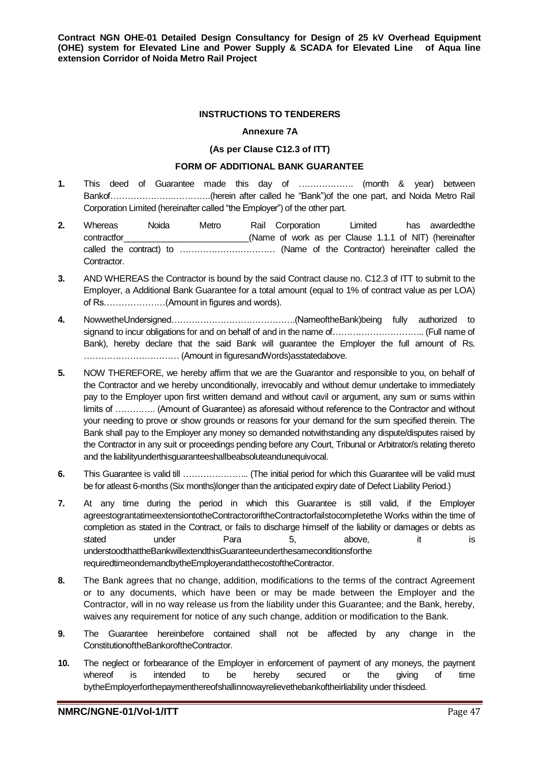#### **INSTRUCTIONS TO TENDERERS**

#### **Annexure 7A**

#### **(As per Clause C12.3 of ITT)**

# **FORM OF ADDITIONAL BANK GUARANTEE**

- **1.** This deed of Guarantee made this day of ………………. (month & year) between Bankof………………….………….(herein after called he "Bank")of the one part, and Noida Metro Rail Corporation Limited (hereinafter called "the Employer") of the other part.
- **2.** Whereas Noida Metro Rail Corporation Limited has awardedthe contractfor The Clause 1.1.1 of NIT) (hereinafter  $(Name$  of work as per Clause 1.1.1 of NIT) (hereinafter called the contract) to …………………………… (Name of the Contractor) hereinafter called the Contractor.
- **3.** AND WHEREAS the Contractor is bound by the said Contract clause no. C12.3 of ITT to submit to the Employer, a Additional Bank Guarantee for a total amount (equal to 1% of contract value as per LOA) of Rs…………………(Amount in figures and words).
- **4.** NowwetheUndersigned…………………………………….(NameoftheBank)being fully authorized to signand to incur obligations for and on behalf of and in the name of………………………….. (Full name of Bank), hereby declare that the said Bank will guarantee the Employer the full amount of Rs. …………………………… (Amount in figuresandWords)asstatedabove.
- **5.** NOW THEREFORE, we hereby affirm that we are the Guarantor and responsible to you, on behalf of the Contractor and we hereby unconditionally, irrevocably and without demur undertake to immediately pay to the Employer upon first written demand and without cavil or argument, any sum or sums within limits of ………….. (Amount of Guarantee) as aforesaid without reference to the Contractor and without your needing to prove or show grounds or reasons for your demand for the sum specified therein. The Bank shall pay to the Employer any money so demanded notwithstanding any dispute/disputes raised by the Contractor in any suit or proceedings pending before any Court, Tribunal or Arbitrator/s relating thereto and the liabilityunderthisguaranteeshallbeabsoluteandunequivocal.
- **6.** This Guarantee is valid till ………………….. (The initial period for which this Guarantee will be valid must be for atleast 6-months (Six months)longer than the anticipated expiry date of Defect Liability Period.)
- **7.** At any time during the period in which this Guarantee is still valid, if the Employer agreestograntatimeextensiontotheContractororiftheContractorfailstocompletethe Works within the time of completion as stated in the Contract, or fails to discharge himself of the liability or damages or debts as stated under Para 5, above, it is understoodthattheBankwillextendthisGuaranteeunderthesameconditionsforthe requiredtimeondemandbytheEmployerandatthecostoftheContractor.
- **8.** The Bank agrees that no change, addition, modifications to the terms of the contract Agreement or to any documents, which have been or may be made between the Employer and the Contractor, will in no way release us from the liability under this Guarantee; and the Bank, hereby, waives any requirement for notice of any such change, addition or modification to the Bank.
- **9.** The Guarantee hereinbefore contained shall not be affected by any change in the ConstitutionoftheBankoroftheContractor.
- **10.** The neglect or forbearance of the Employer in enforcement of payment of any moneys, the payment whereof is intended to be hereby secured or the giving of time bytheEmployerforthepaymenthereofshallinnowayrelievethebankoftheirliability under thisdeed.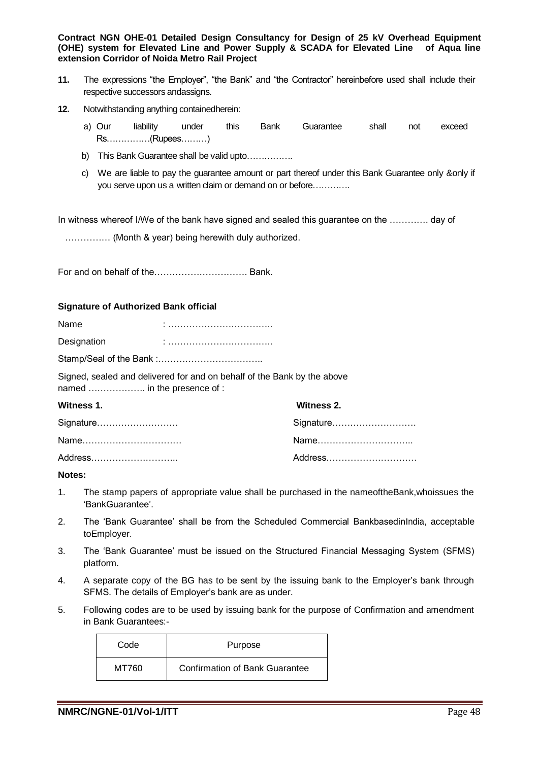- **11.** The expressions "the Employer", "the Bank" and "the Contractor" hereinbefore used shall include their respective successors andassigns.
- **12.** Notwithstanding anything containedherein:
	- a) Our liability under this Bank Guarantee shall not exceed Rs……………(Rupees………)
	- b) This Bank Guarantee shall be valid upto...............
	- c) We are liable to pay the guarantee amount or part thereof under this Bank Guarantee only &only if you serve upon us a written claim or demand on or before………….

In witness whereof I/We of the bank have signed and sealed this guarantee on the …………. day of

…………… (Month & year) being herewith duly authorized.

For and on behalf of the…………………………. Bank.

#### **Signature of Authorized Bank official**

| Name        |  |
|-------------|--|
| Designation |  |
|             |  |

Signed, sealed and delivered for and on behalf of the Bank by the above named ………………. in the presence of :

| Witness 1. | Witness 2. |
|------------|------------|
| Signature  | Signature  |
| Name       |            |
| Address    | Address    |

#### **Notes:**

- 1. The stamp papers of appropriate value shall be purchased in the nameoftheBank,whoissues the 'BankGuarantee'.
- 2. The 'Bank Guarantee' shall be from the Scheduled Commercial BankbasedinIndia, acceptable toEmployer.
- 3. The 'Bank Guarantee' must be issued on the Structured Financial Messaging System (SFMS) platform.
- 4. A separate copy of the BG has to be sent by the issuing bank to the Employer's bank through SFMS. The details of Employer's bank are as under.
- 5. Following codes are to be used by issuing bank for the purpose of Confirmation and amendment in Bank Guarantees:-

| Code  | Purpose                               |
|-------|---------------------------------------|
| MT760 | <b>Confirmation of Bank Guarantee</b> |